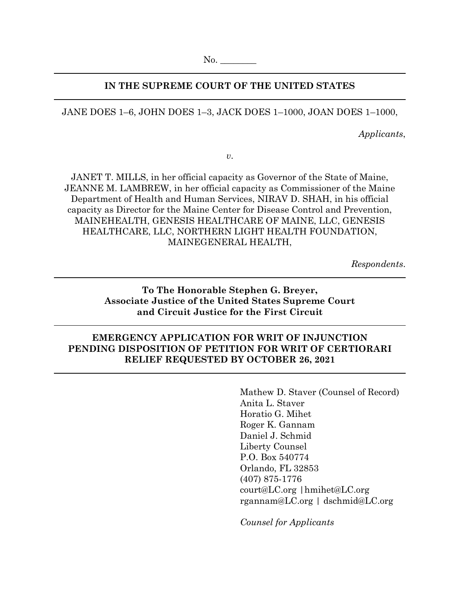### **IN THE SUPREME COURT OF THE UNITED STATES**

JANE DOES 1–6, JOHN DOES 1–3, JACK DOES 1–1000, JOAN DOES 1–1000,

*Applicants*,

*v*.

JANET T. MILLS, in her official capacity as Governor of the State of Maine, JEANNE M. LAMBREW, in her official capacity as Commissioner of the Maine Department of Health and Human Services, NIRAV D. SHAH, in his official capacity as Director for the Maine Center for Disease Control and Prevention, MAINEHEALTH, GENESIS HEALTHCARE OF MAINE, LLC, GENESIS HEALTHCARE, LLC, NORTHERN LIGHT HEALTH FOUNDATION, MAINEGENERAL HEALTH,

*Respondents*.

### **To The Honorable Stephen G. Breyer, Associate Justice of the United States Supreme Court and Circuit Justice for the First Circuit**

### **EMERGENCY APPLICATION FOR WRIT OF INJUNCTION PENDING DISPOSITION OF PETITION FOR WRIT OF CERTIORARI RELIEF REQUESTED BY OCTOBER 26, 2021**

Mathew D. Staver (Counsel of Record) Anita L. Staver Horatio G. Mihet Roger K. Gannam Daniel J. Schmid Liberty Counsel P.O. Box 540774 Orlando, FL 32853 (407) 875-1776 court@LC.org |hmihet@LC.org rgannam@LC.org | dschmid@LC.org

*Counsel for Applicants*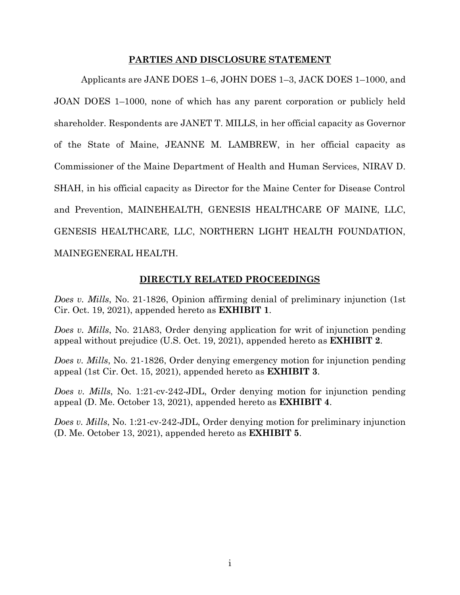#### **PARTIES AND DISCLOSURE STATEMENT**

Applicants are JANE DOES 1–6, JOHN DOES 1–3, JACK DOES 1–1000, and JOAN DOES 1–1000, none of which has any parent corporation or publicly held shareholder. Respondents are JANET T. MILLS, in her official capacity as Governor of the State of Maine, JEANNE M. LAMBREW, in her official capacity as Commissioner of the Maine Department of Health and Human Services, NIRAV D. SHAH, in his official capacity as Director for the Maine Center for Disease Control and Prevention, MAINEHEALTH, GENESIS HEALTHCARE OF MAINE, LLC, GENESIS HEALTHCARE, LLC, NORTHERN LIGHT HEALTH FOUNDATION, MAINEGENERAL HEALTH.

### **DIRECTLY RELATED PROCEEDINGS**

*Does v. Mills*, No. 21-1826, Opinion affirming denial of preliminary injunction (1st Cir. Oct. 19, 2021), appended hereto as **EXHIBIT 1**.

*Does v. Mills*, No. 21A83, Order denying application for writ of injunction pending appeal without prejudice (U.S. Oct. 19, 2021), appended hereto as **EXHIBIT 2**.

*Does v. Mills*, No. 21-1826, Order denying emergency motion for injunction pending appeal (1st Cir. Oct. 15, 2021), appended hereto as **EXHIBIT 3**.

*Does v. Mills*, No. 1:21-cv-242-JDL, Order denying motion for injunction pending appeal (D. Me. October 13, 2021), appended hereto as **EXHIBIT 4**.

*Does v. Mills*, No. 1:21-cv-242-JDL, Order denying motion for preliminary injunction (D. Me. October 13, 2021), appended hereto as **EXHIBIT 5**.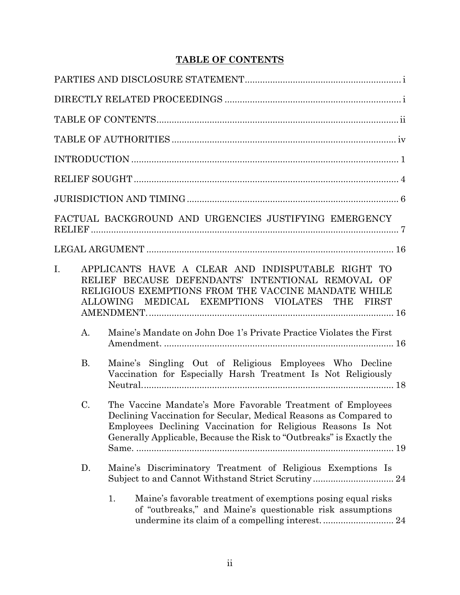# **TABLE OF CONTENTS**

|             |                | FACTUAL BACKGROUND AND URGENCIES JUSTIFYING EMERGENCY                                                                                                                                                                                                                    |
|-------------|----------------|--------------------------------------------------------------------------------------------------------------------------------------------------------------------------------------------------------------------------------------------------------------------------|
|             |                |                                                                                                                                                                                                                                                                          |
| $I_{\cdot}$ |                | APPLICANTS HAVE A CLEAR AND INDISPUTABLE RIGHT TO<br>RELIEF BECAUSE DEFENDANTS' INTENTIONAL REMOVAL OF<br>RELIGIOUS EXEMPTIONS FROM THE VACCINE MANDATE WHILE<br>ALLOWING MEDICAL EXEMPTIONS VIOLATES THE FIRST                                                          |
|             | $\mathbf{A}$ . | Maine's Mandate on John Doe 1's Private Practice Violates the First                                                                                                                                                                                                      |
|             | <b>B.</b>      | Maine's Singling Out of Religious Employees Who Decline<br>Vaccination for Especially Harsh Treatment Is Not Religiously                                                                                                                                                 |
|             | C.             | The Vaccine Mandate's More Favorable Treatment of Employees<br>Declining Vaccination for Secular, Medical Reasons as Compared to<br>Employees Declining Vaccination for Religious Reasons Is Not<br>Generally Applicable, Because the Risk to "Outbreaks" is Exactly the |
|             | D.             | Maine's Discriminatory Treatment of Religious Exemptions Is<br>Subject to and Cannot Withstand Strict Scrutiny 24                                                                                                                                                        |
|             |                | Maine's favorable treatment of exemptions posing equal risks<br>1.<br>of "outbreaks," and Maine's questionable risk assumptions                                                                                                                                          |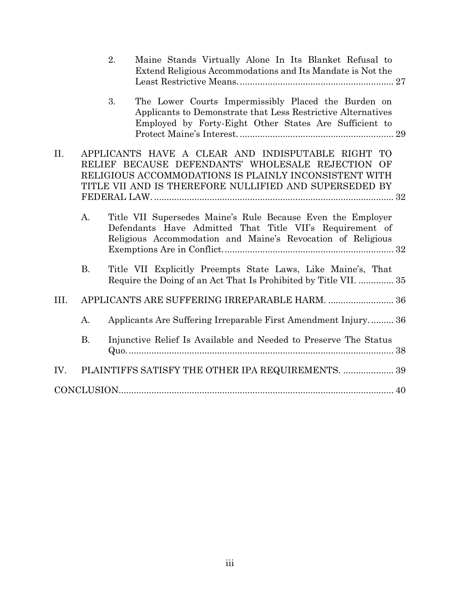|      |                | 2. | Maine Stands Virtually Alone In Its Blanket Refusal to<br>Extend Religious Accommodations and Its Mandate is Not the                                                                                                      |  |
|------|----------------|----|---------------------------------------------------------------------------------------------------------------------------------------------------------------------------------------------------------------------------|--|
|      |                | 3. | The Lower Courts Impermissibly Placed the Burden on<br>Applicants to Demonstrate that Less Restrictive Alternatives<br>Employed by Forty-Eight Other States Are Sufficient to                                             |  |
| II.  |                |    | APPLICANTS HAVE A CLEAR AND INDISPUTABLE RIGHT TO<br>RELIEF BECAUSE DEFENDANTS' WHOLESALE REJECTION OF<br>RELIGIOUS ACCOMMODATIONS IS PLAINLY INCONSISTENT WITH<br>TITLE VII AND IS THEREFORE NULLIFIED AND SUPERSEDED BY |  |
|      | $\mathbf{A}$ . |    | Title VII Supersedes Maine's Rule Because Even the Employer<br>Defendants Have Admitted That Title VII's Requirement of<br>Religious Accommodation and Maine's Revocation of Religious                                    |  |
|      | <b>B.</b>      |    | Title VII Explicitly Preempts State Laws, Like Maine's, That<br>Require the Doing of an Act That Is Prohibited by Title VII.  35                                                                                          |  |
| III. |                |    | APPLICANTS ARE SUFFERING IRREPARABLE HARM.  36                                                                                                                                                                            |  |
|      | A.             |    | Applicants Are Suffering Irreparable First Amendment Injury 36                                                                                                                                                            |  |
|      | <b>B.</b>      |    | Injunctive Relief Is Available and Needed to Preserve The Status                                                                                                                                                          |  |
| IV.  |                |    | PLAINTIFFS SATISFY THE OTHER IPA REQUIREMENTS.  39                                                                                                                                                                        |  |
|      |                |    |                                                                                                                                                                                                                           |  |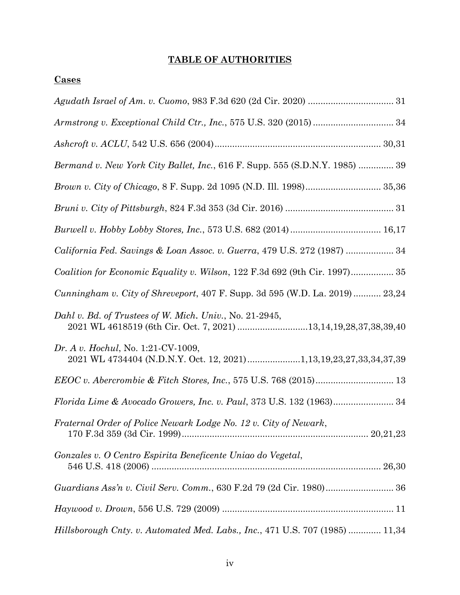# **TABLE OF AUTHORITIES**

## **Cases**

| Bermand v. New York City Ballet, Inc., 616 F. Supp. 555 (S.D.N.Y. 1985)  39                                                |
|----------------------------------------------------------------------------------------------------------------------------|
|                                                                                                                            |
|                                                                                                                            |
|                                                                                                                            |
| California Fed. Savings & Loan Assoc. v. Guerra, 479 U.S. 272 (1987)  34                                                   |
| Coalition for Economic Equality v. Wilson, 122 F.3d 692 (9th Cir. 1997) 35                                                 |
| Cunningham v. City of Shreveport, 407 F. Supp. 3d 595 (W.D. La. 2019) 23,24                                                |
| Dahl v. Bd. of Trustees of W. Mich. Univ., No. 21-2945,<br>2021 WL 4618519 (6th Cir. Oct. 7, 2021) 13,14,19,28,37,38,39,40 |
| Dr. A v. Hochul, No. 1:21-CV-1009,<br>2021 WL 4734404 (N.D.N.Y. Oct. 12, 2021)1,13,19,23,27,33,34,37,39                    |
|                                                                                                                            |
|                                                                                                                            |
| Fraternal Order of Police Newark Lodge No. 12 v. City of Newark,                                                           |
| Gonzales v. O Centro Espirita Beneficente Uniao do Vegetal,                                                                |
| Guardians Ass'n v. Civil Serv. Comm., 630 F.2d 79 (2d Cir. 1980) 36                                                        |
|                                                                                                                            |
| Hillsborough Cnty. v. Automated Med. Labs., Inc., 471 U.S. 707 (1985)  11,34                                               |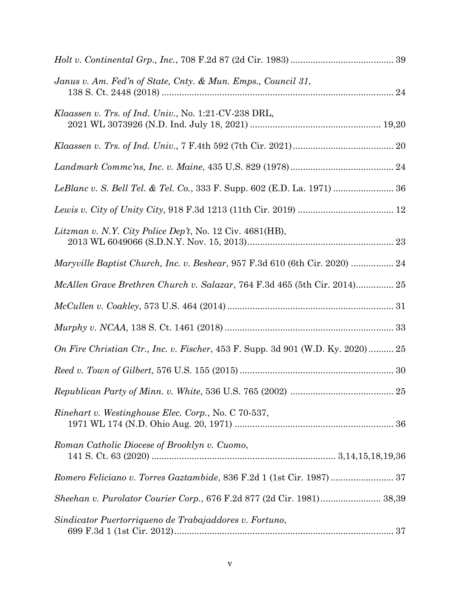| Janus v. Am. Fed'n of State, Cnty. & Mun. Emps., Council 31,                    |
|---------------------------------------------------------------------------------|
| Klaassen v. Trs. of Ind. Univ., No. 1:21-CV-238 DRL,                            |
|                                                                                 |
|                                                                                 |
| LeBlanc v. S. Bell Tel. & Tel. Co., 333 F. Supp. 602 (E.D. La. 1971)  36        |
|                                                                                 |
| Litzman v. N.Y. City Police Dep't, No. 12 Civ. 4681(HB),                        |
| Maryville Baptist Church, Inc. v. Beshear, 957 F.3d 610 (6th Cir. 2020)  24     |
| McAllen Grave Brethren Church v. Salazar, 764 F.3d 465 (5th Cir. 2014) 25       |
|                                                                                 |
|                                                                                 |
| On Fire Christian Ctr., Inc. v. Fischer, 453 F. Supp. 3d 901 (W.D. Ky. 2020) 25 |
|                                                                                 |
|                                                                                 |
| <i>Rinehart v. Westinghouse Elec. Corp., No. C 70-537,</i>                      |
| Roman Catholic Diocese of Brooklyn v. Cuomo,                                    |
| Romero Feliciano v. Torres Gaztambide, 836 F.2d 1 (1st Cir. 1987) 37            |
| Sheehan v. Purolator Courier Corp., 676 F.2d 877 (2d Cir. 1981) 38,39           |
| Sindicator Puertorriqueno de Trabajaddores v. Fortuno,                          |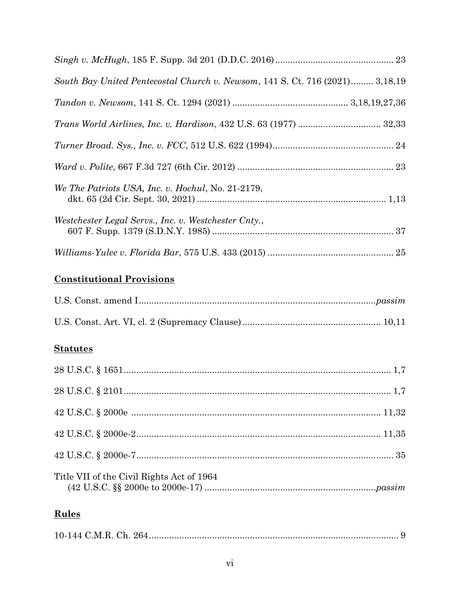| South Bay United Pentecostal Church v. Newsom, 141 S. Ct. 716 (2021) 3,18,19 |  |
|------------------------------------------------------------------------------|--|
|                                                                              |  |
|                                                                              |  |
|                                                                              |  |
|                                                                              |  |
| We The Patriots USA, Inc. v. Hochul, No. 21-2179,                            |  |
| Westchester Legal Servs., Inc. v. Westchester Cnty.,                         |  |
|                                                                              |  |

# **Constitutional Provisions**

# **Statutes**

| Title VII of the Civil Rights Act of 1964 |  |
|-------------------------------------------|--|
| Rules                                     |  |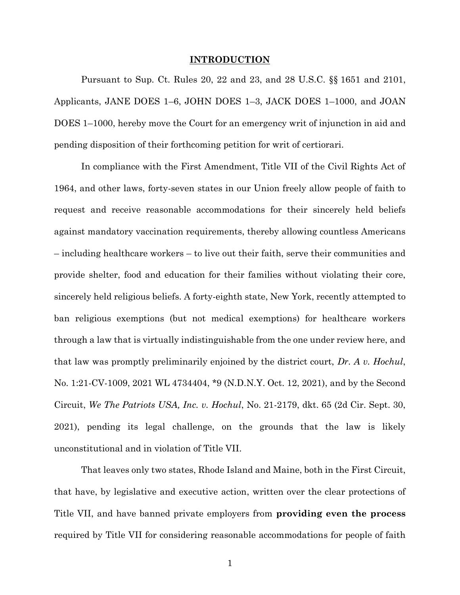#### **INTRODUCTION**

Pursuant to Sup. Ct. Rules 20, 22 and 23, and 28 U.S.C. §§ 1651 and 2101, Applicants, JANE DOES 1–6, JOHN DOES 1–3, JACK DOES 1–1000, and JOAN DOES 1–1000, hereby move the Court for an emergency writ of injunction in aid and pending disposition of their forthcoming petition for writ of certiorari.

In compliance with the First Amendment, Title VII of the Civil Rights Act of 1964, and other laws, forty-seven states in our Union freely allow people of faith to request and receive reasonable accommodations for their sincerely held beliefs against mandatory vaccination requirements, thereby allowing countless Americans – including healthcare workers – to live out their faith, serve their communities and provide shelter, food and education for their families without violating their core, sincerely held religious beliefs. A forty-eighth state, New York, recently attempted to ban religious exemptions (but not medical exemptions) for healthcare workers through a law that is virtually indistinguishable from the one under review here, and that law was promptly preliminarily enjoined by the district court, *Dr. A v. Hochul*, No. 1:21-CV-1009, 2021 WL 4734404, \*9 (N.D.N.Y. Oct. 12, 2021), and by the Second Circuit, *We The Patriots USA, Inc. v. Hochul*, No. 21-2179, dkt. 65 (2d Cir. Sept. 30, 2021), pending its legal challenge, on the grounds that the law is likely unconstitutional and in violation of Title VII.

That leaves only two states, Rhode Island and Maine, both in the First Circuit, that have, by legislative and executive action, written over the clear protections of Title VII, and have banned private employers from **providing even the process** required by Title VII for considering reasonable accommodations for people of faith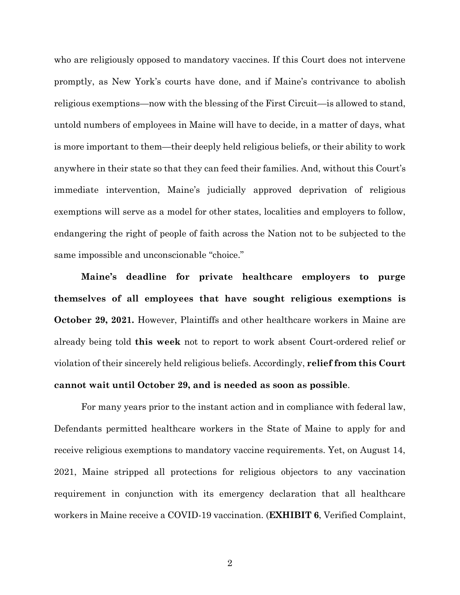who are religiously opposed to mandatory vaccines. If this Court does not intervene promptly, as New York's courts have done, and if Maine's contrivance to abolish religious exemptions—now with the blessing of the First Circuit—is allowed to stand, untold numbers of employees in Maine will have to decide, in a matter of days, what is more important to them—their deeply held religious beliefs, or their ability to work anywhere in their state so that they can feed their families. And, without this Court's immediate intervention, Maine's judicially approved deprivation of religious exemptions will serve as a model for other states, localities and employers to follow, endangering the right of people of faith across the Nation not to be subjected to the same impossible and unconscionable "choice."

**Maine's deadline for private healthcare employers to purge themselves of all employees that have sought religious exemptions is October 29, 2021.** However, Plaintiffs and other healthcare workers in Maine are already being told **this week** not to report to work absent Court-ordered relief or violation of their sincerely held religious beliefs. Accordingly, **relief from this Court cannot wait until October 29, and is needed as soon as possible**.

For many years prior to the instant action and in compliance with federal law, Defendants permitted healthcare workers in the State of Maine to apply for and receive religious exemptions to mandatory vaccine requirements. Yet, on August 14, 2021, Maine stripped all protections for religious objectors to any vaccination requirement in conjunction with its emergency declaration that all healthcare workers in Maine receive a COVID-19 vaccination. (**EXHIBIT 6**, Verified Complaint,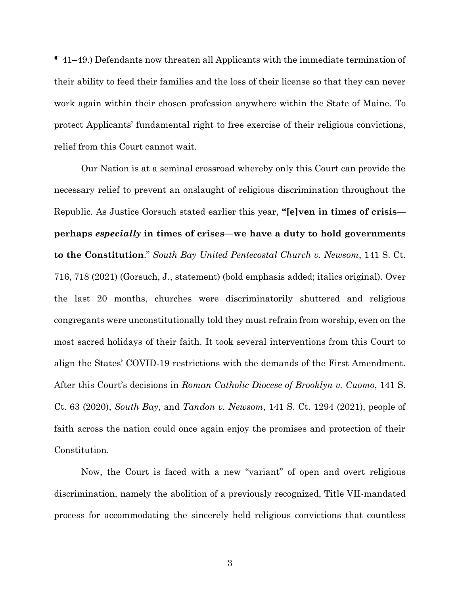¶ 41–49.) Defendants now threaten all Applicants with the immediate termination of their ability to feed their families and the loss of their license so that they can never work again within their chosen profession anywhere within the State of Maine. To protect Applicants' fundamental right to free exercise of their religious convictions, relief from this Court cannot wait.

Our Nation is at a seminal crossroad whereby only this Court can provide the necessary relief to prevent an onslaught of religious discrimination throughout the Republic. As Justice Gorsuch stated earlier this year, **"[e]ven in times of crisis perhaps** *especially* **in times of crises—we have a duty to hold governments to the Constitution**." *South Bay United Pentecostal Church v. Newsom*, 141 S. Ct. 716, 718 (2021) (Gorsuch, J., statement) (bold emphasis added; italics original). Over the last 20 months, churches were discriminatorily shuttered and religious congregants were unconstitutionally told they must refrain from worship, even on the most sacred holidays of their faith. It took several interventions from this Court to align the States' COVID-19 restrictions with the demands of the First Amendment. After this Court's decisions in *Roman Catholic Diocese of Brooklyn v. Cuomo*, 141 S. Ct. 63 (2020), *South Bay*, and *Tandon v. Newsom*, 141 S. Ct. 1294 (2021), people of faith across the nation could once again enjoy the promises and protection of their Constitution.

Now, the Court is faced with a new "variant" of open and overt religious discrimination, namely the abolition of a previously recognized, Title VII-mandated process for accommodating the sincerely held religious convictions that countless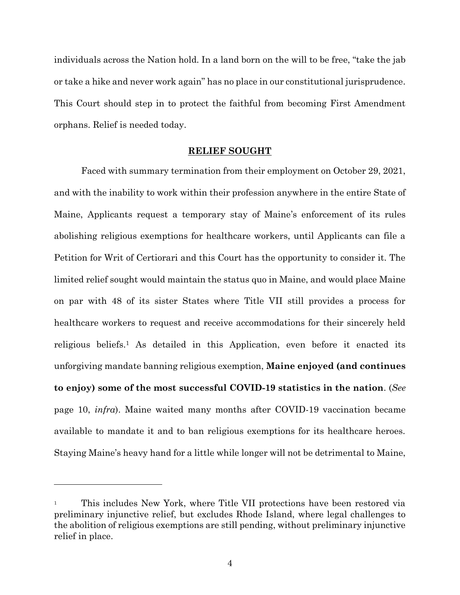individuals across the Nation hold. In a land born on the will to be free, "take the jab or take a hike and never work again" has no place in our constitutional jurisprudence. This Court should step in to protect the faithful from becoming First Amendment orphans. Relief is needed today.

#### **RELIEF SOUGHT**

Faced with summary termination from their employment on October 29, 2021, and with the inability to work within their profession anywhere in the entire State of Maine, Applicants request a temporary stay of Maine's enforcement of its rules abolishing religious exemptions for healthcare workers, until Applicants can file a Petition for Writ of Certiorari and this Court has the opportunity to consider it. The limited relief sought would maintain the status quo in Maine, and would place Maine on par with 48 of its sister States where Title VII still provides a process for healthcare workers to request and receive accommodations for their sincerely held religious beliefs.<sup>1</sup> As detailed in this Application, even before it enacted its unforgiving mandate banning religious exemption, **Maine enjoyed (and continues to enjoy) some of the most successful COVID-19 statistics in the nation**. (*See* page 10, *infra*). Maine waited many months after COVID-19 vaccination became available to mandate it and to ban religious exemptions for its healthcare heroes. Staying Maine's heavy hand for a little while longer will not be detrimental to Maine,

<sup>1</sup> This includes New York, where Title VII protections have been restored via preliminary injunctive relief, but excludes Rhode Island, where legal challenges to the abolition of religious exemptions are still pending, without preliminary injunctive relief in place.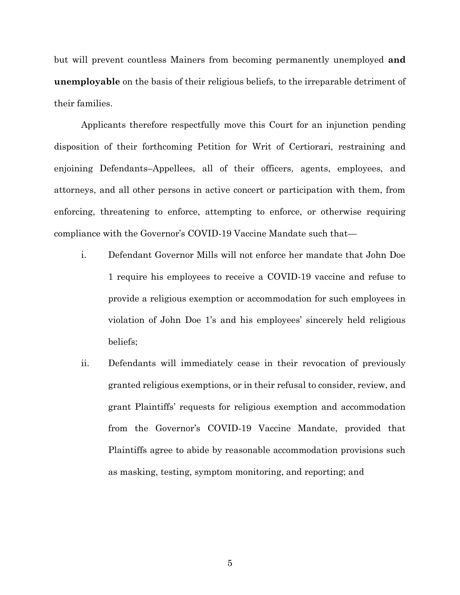but will prevent countless Mainers from becoming permanently unemployed **and unemployable** on the basis of their religious beliefs, to the irreparable detriment of their families.

Applicants therefore respectfully move this Court for an injunction pending disposition of their forthcoming Petition for Writ of Certiorari, restraining and enjoining Defendants–Appellees, all of their officers, agents, employees, and attorneys, and all other persons in active concert or participation with them, from enforcing, threatening to enforce, attempting to enforce, or otherwise requiring compliance with the Governor's COVID-19 Vaccine Mandate such that—

- i. Defendant Governor Mills will not enforce her mandate that John Doe 1 require his employees to receive a COVID-19 vaccine and refuse to provide a religious exemption or accommodation for such employees in violation of John Doe 1's and his employees' sincerely held religious beliefs;
- ii. Defendants will immediately cease in their revocation of previously granted religious exemptions, or in their refusal to consider, review, and grant Plaintiffs' requests for religious exemption and accommodation from the Governor's COVID-19 Vaccine Mandate, provided that Plaintiffs agree to abide by reasonable accommodation provisions such as masking, testing, symptom monitoring, and reporting; and

5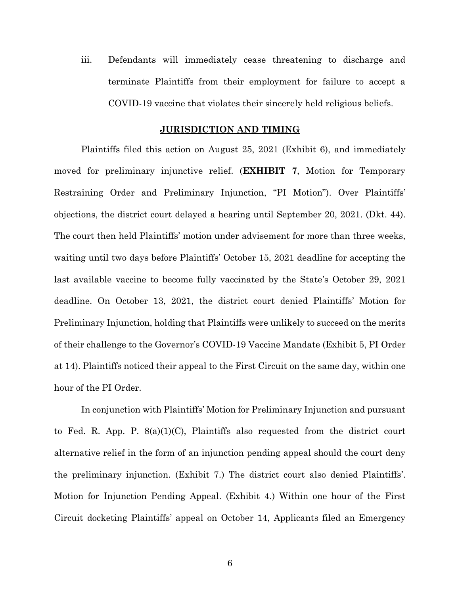iii. Defendants will immediately cease threatening to discharge and terminate Plaintiffs from their employment for failure to accept a COVID-19 vaccine that violates their sincerely held religious beliefs.

#### **JURISDICTION AND TIMING**

Plaintiffs filed this action on August 25, 2021 (Exhibit 6), and immediately moved for preliminary injunctive relief. (**EXHIBIT 7**, Motion for Temporary Restraining Order and Preliminary Injunction, "PI Motion"). Over Plaintiffs' objections, the district court delayed a hearing until September 20, 2021. (Dkt. 44). The court then held Plaintiffs' motion under advisement for more than three weeks, waiting until two days before Plaintiffs' October 15, 2021 deadline for accepting the last available vaccine to become fully vaccinated by the State's October 29, 2021 deadline. On October 13, 2021, the district court denied Plaintiffs' Motion for Preliminary Injunction, holding that Plaintiffs were unlikely to succeed on the merits of their challenge to the Governor's COVID-19 Vaccine Mandate (Exhibit 5, PI Order at 14). Plaintiffs noticed their appeal to the First Circuit on the same day, within one hour of the PI Order.

In conjunction with Plaintiffs' Motion for Preliminary Injunction and pursuant to Fed. R. App. P.  $8(a)(1)(C)$ , Plaintiffs also requested from the district court alternative relief in the form of an injunction pending appeal should the court deny the preliminary injunction. (Exhibit 7.) The district court also denied Plaintiffs'. Motion for Injunction Pending Appeal. (Exhibit 4.) Within one hour of the First Circuit docketing Plaintiffs' appeal on October 14, Applicants filed an Emergency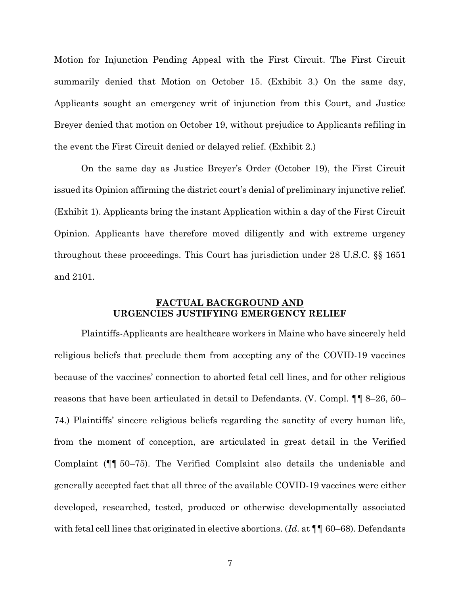Motion for Injunction Pending Appeal with the First Circuit. The First Circuit summarily denied that Motion on October 15. (Exhibit 3.) On the same day, Applicants sought an emergency writ of injunction from this Court, and Justice Breyer denied that motion on October 19, without prejudice to Applicants refiling in the event the First Circuit denied or delayed relief. (Exhibit 2.)

On the same day as Justice Breyer's Order (October 19), the First Circuit issued its Opinion affirming the district court's denial of preliminary injunctive relief. (Exhibit 1). Applicants bring the instant Application within a day of the First Circuit Opinion. Applicants have therefore moved diligently and with extreme urgency throughout these proceedings. This Court has jurisdiction under 28 U.S.C. §§ 1651 and 2101.

#### **FACTUAL BACKGROUND AND URGENCIES JUSTIFYING EMERGENCY RELIEF**

Plaintiffs-Applicants are healthcare workers in Maine who have sincerely held religious beliefs that preclude them from accepting any of the COVID-19 vaccines because of the vaccines' connection to aborted fetal cell lines, and for other religious reasons that have been articulated in detail to Defendants. (V. Compl. ¶¶ 8–26, 50– 74.) Plaintiffs' sincere religious beliefs regarding the sanctity of every human life, from the moment of conception, are articulated in great detail in the Verified Complaint (¶¶ 50–75). The Verified Complaint also details the undeniable and generally accepted fact that all three of the available COVID-19 vaccines were either developed, researched, tested, produced or otherwise developmentally associated with fetal cell lines that originated in elective abortions. (*Id*. at ¶¶ 60–68). Defendants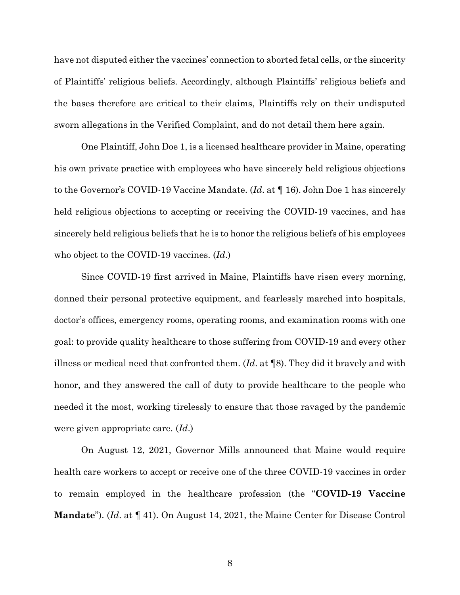have not disputed either the vaccines' connection to aborted fetal cells, or the sincerity of Plaintiffs' religious beliefs. Accordingly, although Plaintiffs' religious beliefs and the bases therefore are critical to their claims, Plaintiffs rely on their undisputed sworn allegations in the Verified Complaint, and do not detail them here again.

One Plaintiff, John Doe 1, is a licensed healthcare provider in Maine, operating his own private practice with employees who have sincerely held religious objections to the Governor's COVID-19 Vaccine Mandate. (*Id*. at ¶ 16). John Doe 1 has sincerely held religious objections to accepting or receiving the COVID-19 vaccines, and has sincerely held religious beliefs that he is to honor the religious beliefs of his employees who object to the COVID-19 vaccines. (*Id*.)

Since COVID-19 first arrived in Maine, Plaintiffs have risen every morning, donned their personal protective equipment, and fearlessly marched into hospitals, doctor's offices, emergency rooms, operating rooms, and examination rooms with one goal: to provide quality healthcare to those suffering from COVID-19 and every other illness or medical need that confronted them. (*Id*. at ¶8). They did it bravely and with honor, and they answered the call of duty to provide healthcare to the people who needed it the most, working tirelessly to ensure that those ravaged by the pandemic were given appropriate care. (*Id*.)

On August 12, 2021, Governor Mills announced that Maine would require health care workers to accept or receive one of the three COVID-19 vaccines in order to remain employed in the healthcare profession (the "**COVID-19 Vaccine Mandate**"). (*Id*. at ¶ 41). On August 14, 2021, the Maine Center for Disease Control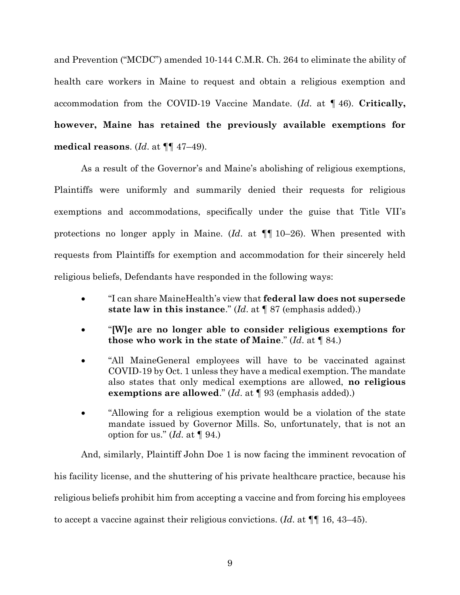and Prevention ("MCDC") amended 10-144 C.M.R. Ch. 264 to eliminate the ability of health care workers in Maine to request and obtain a religious exemption and accommodation from the COVID-19 Vaccine Mandate. (*Id*. at ¶ 46). **Critically, however, Maine has retained the previously available exemptions for medical reasons**. (*Id*. at ¶¶ 47–49).

As a result of the Governor's and Maine's abolishing of religious exemptions, Plaintiffs were uniformly and summarily denied their requests for religious exemptions and accommodations, specifically under the guise that Title VII's protections no longer apply in Maine. (*Id*. at ¶¶ 10–26). When presented with requests from Plaintiffs for exemption and accommodation for their sincerely held religious beliefs, Defendants have responded in the following ways:

- "I can share MaineHealth's view that **federal law does not supersede state law in this instance**." (*Id*. at ¶ 87 (emphasis added).)
- "**[W]e are no longer able to consider religious exemptions for those who work in the state of Maine**." (*Id*. at ¶ 84.)
- "All MaineGeneral employees will have to be vaccinated against COVID-19 by Oct. 1 unless they have a medical exemption. The mandate also states that only medical exemptions are allowed, **no religious exemptions are allowed**." (*Id*. at ¶ 93 (emphasis added).)
- "Allowing for a religious exemption would be a violation of the state mandate issued by Governor Mills. So, unfortunately, that is not an option for us." (*Id*. at ¶ 94.)

And, similarly, Plaintiff John Doe 1 is now facing the imminent revocation of his facility license, and the shuttering of his private healthcare practice, because his religious beliefs prohibit him from accepting a vaccine and from forcing his employees to accept a vaccine against their religious convictions. (*Id*. at ¶¶ 16, 43–45).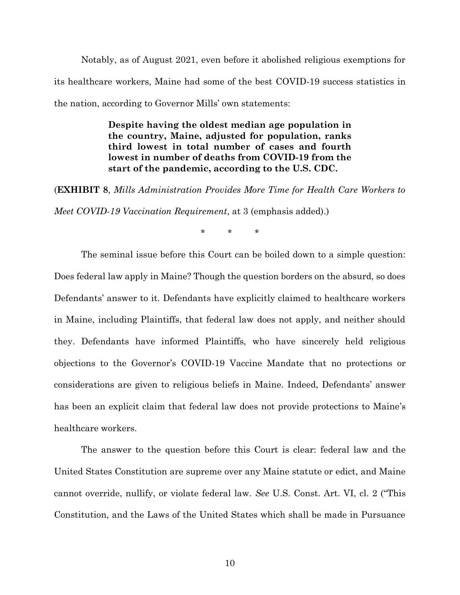Notably, as of August 2021, even before it abolished religious exemptions for its healthcare workers, Maine had some of the best COVID-19 success statistics in the nation, according to Governor Mills' own statements:

> **Despite having the oldest median age population in the country, Maine, adjusted for population, ranks third lowest in total number of cases and fourth lowest in number of deaths from COVID-19 from the start of the pandemic, according to the U.S. CDC.**

(**EXHIBIT 8**, *Mills Administration Provides More Time for Health Care Workers to* 

*Meet COVID-19 Vaccination Requirement*, at 3 (emphasis added).)

\* \* \*

The seminal issue before this Court can be boiled down to a simple question: Does federal law apply in Maine? Though the question borders on the absurd, so does Defendants' answer to it. Defendants have explicitly claimed to healthcare workers in Maine, including Plaintiffs, that federal law does not apply, and neither should they. Defendants have informed Plaintiffs, who have sincerely held religious objections to the Governor's COVID-19 Vaccine Mandate that no protections or considerations are given to religious beliefs in Maine. Indeed, Defendants' answer has been an explicit claim that federal law does not provide protections to Maine's healthcare workers.

The answer to the question before this Court is clear: federal law and the United States Constitution are supreme over any Maine statute or edict, and Maine cannot override, nullify, or violate federal law. *See* U.S. Const. Art. VI, cl. 2 ("This Constitution, and the Laws of the United States which shall be made in Pursuance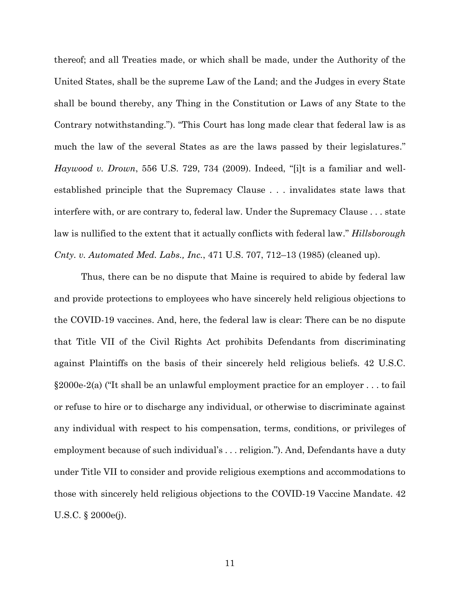thereof; and all Treaties made, or which shall be made, under the Authority of the United States, shall be the supreme Law of the Land; and the Judges in every State shall be bound thereby, any Thing in the Constitution or Laws of any State to the Contrary notwithstanding."). "This Court has long made clear that federal law is as much the law of the several States as are the laws passed by their legislatures." *Haywood v. Drown*, 556 U.S. 729, 734 (2009). Indeed, "[i]t is a familiar and wellestablished principle that the Supremacy Clause . . . invalidates state laws that interfere with, or are contrary to, federal law. Under the Supremacy Clause . . . state law is nullified to the extent that it actually conflicts with federal law." *Hillsborough Cnty. v. Automated Med. Labs., Inc.*, 471 U.S. 707, 712–13 (1985) (cleaned up).

Thus, there can be no dispute that Maine is required to abide by federal law and provide protections to employees who have sincerely held religious objections to the COVID-19 vaccines. And, here, the federal law is clear: There can be no dispute that Title VII of the Civil Rights Act prohibits Defendants from discriminating against Plaintiffs on the basis of their sincerely held religious beliefs. 42 U.S.C. §2000e-2(a) ("It shall be an unlawful employment practice for an employer . . . to fail or refuse to hire or to discharge any individual, or otherwise to discriminate against any individual with respect to his compensation, terms, conditions, or privileges of employment because of such individual's . . . religion."). And, Defendants have a duty under Title VII to consider and provide religious exemptions and accommodations to those with sincerely held religious objections to the COVID-19 Vaccine Mandate. 42 U.S.C. § 2000e(j).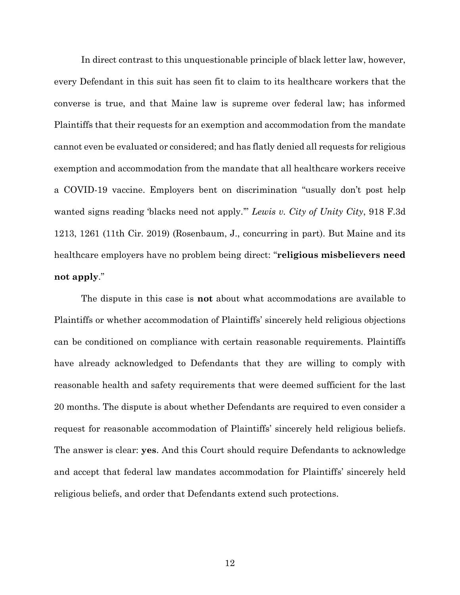In direct contrast to this unquestionable principle of black letter law, however, every Defendant in this suit has seen fit to claim to its healthcare workers that the converse is true, and that Maine law is supreme over federal law; has informed Plaintiffs that their requests for an exemption and accommodation from the mandate cannot even be evaluated or considered; and has flatly denied all requests for religious exemption and accommodation from the mandate that all healthcare workers receive a COVID-19 vaccine. Employers bent on discrimination "usually don't post help wanted signs reading 'blacks need not apply.'" *Lewis v. City of Unity City*, 918 F.3d 1213, 1261 (11th Cir. 2019) (Rosenbaum, J., concurring in part). But Maine and its healthcare employers have no problem being direct: "**religious misbelievers need not apply**."

The dispute in this case is **not** about what accommodations are available to Plaintiffs or whether accommodation of Plaintiffs' sincerely held religious objections can be conditioned on compliance with certain reasonable requirements. Plaintiffs have already acknowledged to Defendants that they are willing to comply with reasonable health and safety requirements that were deemed sufficient for the last 20 months. The dispute is about whether Defendants are required to even consider a request for reasonable accommodation of Plaintiffs' sincerely held religious beliefs. The answer is clear: **yes**. And this Court should require Defendants to acknowledge and accept that federal law mandates accommodation for Plaintiffs' sincerely held religious beliefs, and order that Defendants extend such protections.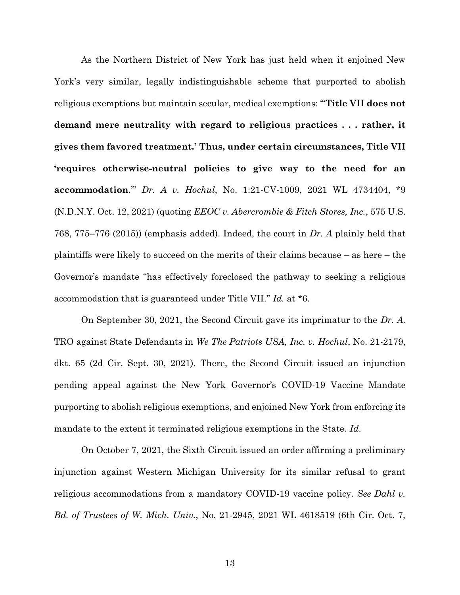As the Northern District of New York has just held when it enjoined New York's very similar, legally indistinguishable scheme that purported to abolish religious exemptions but maintain secular, medical exemptions: "'**Title VII does not demand mere neutrality with regard to religious practices . . . rather, it gives them favored treatment.' Thus, under certain circumstances, Title VII 'requires otherwise-neutral policies to give way to the need for an accommodation**.'" *Dr. A v. Hochul*, No. 1:21-CV-1009, 2021 WL 4734404, \*9 (N.D.N.Y. Oct. 12, 2021) (quoting *EEOC v. Abercrombie & Fitch Stores, Inc.*, 575 U.S. 768, 775–776 (2015)) (emphasis added). Indeed, the court in *Dr. A* plainly held that plaintiffs were likely to succeed on the merits of their claims because – as here – the Governor's mandate "has effectively foreclosed the pathway to seeking a religious accommodation that is guaranteed under Title VII." *Id.* at \*6.

On September 30, 2021, the Second Circuit gave its imprimatur to the *Dr. A.* TRO against State Defendants in *We The Patriots USA, Inc. v. Hochul*, No. 21-2179, dkt. 65 (2d Cir. Sept. 30, 2021). There, the Second Circuit issued an injunction pending appeal against the New York Governor's COVID-19 Vaccine Mandate purporting to abolish religious exemptions, and enjoined New York from enforcing its mandate to the extent it terminated religious exemptions in the State. *Id*.

On October 7, 2021, the Sixth Circuit issued an order affirming a preliminary injunction against Western Michigan University for its similar refusal to grant religious accommodations from a mandatory COVID-19 vaccine policy. *See Dahl v. Bd. of Trustees of W. Mich. Univ.*, No. 21-2945, 2021 WL 4618519 (6th Cir. Oct. 7,

13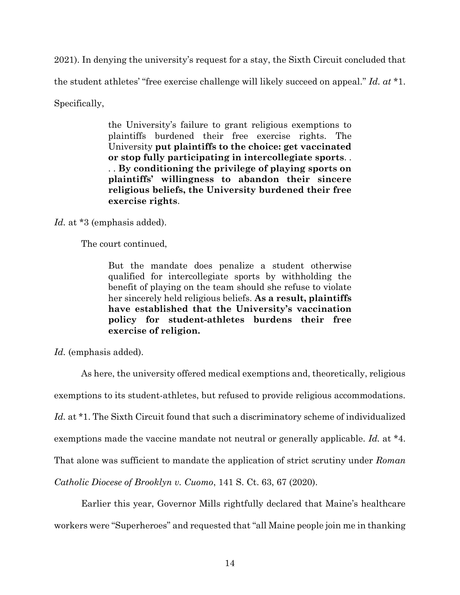2021). In denying the university's request for a stay, the Sixth Circuit concluded that the student athletes' "free exercise challenge will likely succeed on appeal." *Id. at* \*1. Specifically,

> the University's failure to grant religious exemptions to plaintiffs burdened their free exercise rights. The University **put plaintiffs to the choice: get vaccinated or stop fully participating in intercollegiate sports**. . . . **By conditioning the privilege of playing sports on plaintiffs' willingness to abandon their sincere religious beliefs, the University burdened their free exercise rights**.

*Id.* at \*3 (emphasis added).

The court continued,

But the mandate does penalize a student otherwise qualified for intercollegiate sports by withholding the benefit of playing on the team should she refuse to violate her sincerely held religious beliefs. **As a result, plaintiffs have established that the University's vaccination policy for student-athletes burdens their free exercise of religion.**

Id. (emphasis added).

As here, the university offered medical exemptions and, theoretically, religious exemptions to its student-athletes, but refused to provide religious accommodations. Id. at \*1. The Sixth Circuit found that such a discriminatory scheme of individualized exemptions made the vaccine mandate not neutral or generally applicable. *Id.* at \*4. That alone was sufficient to mandate the application of strict scrutiny under *Roman Catholic Diocese of Brooklyn v. Cuomo*, 141 S. Ct. 63, 67 (2020).

Earlier this year, Governor Mills rightfully declared that Maine's healthcare workers were "Superheroes" and requested that "all Maine people join me in thanking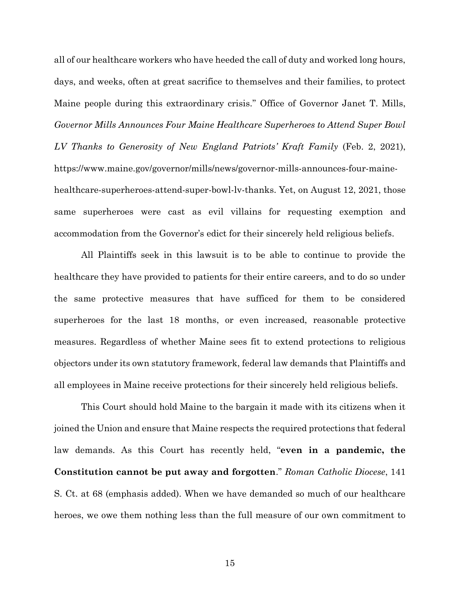all of our healthcare workers who have heeded the call of duty and worked long hours, days, and weeks, often at great sacrifice to themselves and their families, to protect Maine people during this extraordinary crisis." Office of Governor Janet T. Mills, *Governor Mills Announces Four Maine Healthcare Superheroes to Attend Super Bowl LV Thanks to Generosity of New England Patriots' Kraft Family* (Feb. 2, 2021), https://www.maine.gov/governor/mills/news/governor-mills-announces-four-mainehealthcare-superheroes-attend-super-bowl-lv-thanks. Yet, on August 12, 2021, those same superheroes were cast as evil villains for requesting exemption and accommodation from the Governor's edict for their sincerely held religious beliefs.

All Plaintiffs seek in this lawsuit is to be able to continue to provide the healthcare they have provided to patients for their entire careers, and to do so under the same protective measures that have sufficed for them to be considered superheroes for the last 18 months, or even increased, reasonable protective measures. Regardless of whether Maine sees fit to extend protections to religious objectors under its own statutory framework, federal law demands that Plaintiffs and all employees in Maine receive protections for their sincerely held religious beliefs.

This Court should hold Maine to the bargain it made with its citizens when it joined the Union and ensure that Maine respects the required protections that federal law demands. As this Court has recently held, "**even in a pandemic, the Constitution cannot be put away and forgotten**." *Roman Catholic Diocese*, 141 S. Ct. at 68 (emphasis added). When we have demanded so much of our healthcare heroes, we owe them nothing less than the full measure of our own commitment to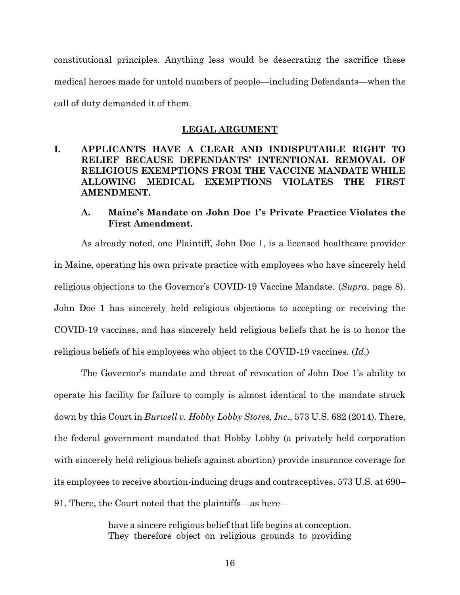constitutional principles. Anything less would be desecrating the sacrifice these medical heroes made for untold numbers of people—including Defendants—when the call of duty demanded it of them.

#### **LEGAL ARGUMENT**

### **I. APPLICANTS HAVE A CLEAR AND INDISPUTABLE RIGHT TO RELIEF BECAUSE DEFENDANTS' INTENTIONAL REMOVAL OF RELIGIOUS EXEMPTIONS FROM THE VACCINE MANDATE WHILE ALLOWING MEDICAL EXEMPTIONS VIOLATES THE FIRST AMENDMENT.**

### **A. Maine's Mandate on John Doe 1's Private Practice Violates the First Amendment.**

As already noted, one Plaintiff, John Doe 1, is a licensed healthcare provider in Maine, operating his own private practice with employees who have sincerely held religious objections to the Governor's COVID-19 Vaccine Mandate. (*Supra*, page 8). John Doe 1 has sincerely held religious objections to accepting or receiving the COVID-19 vaccines, and has sincerely held religious beliefs that he is to honor the religious beliefs of his employees who object to the COVID-19 vaccines. (*Id*.)

The Governor's mandate and threat of revocation of John Doe 1's ability to operate his facility for failure to comply is almost identical to the mandate struck down by this Court in *Burwell v. Hobby Lobby Stores, Inc.*, 573 U.S. 682 (2014). There, the federal government mandated that Hobby Lobby (a privately held corporation with sincerely held religious beliefs against abortion) provide insurance coverage for its employees to receive abortion-inducing drugs and contraceptives. 573 U.S. at 690– 91. There, the Court noted that the plaintiffs—as here—

> have a sincere religious belief that life begins at conception. They therefore object on religious grounds to providing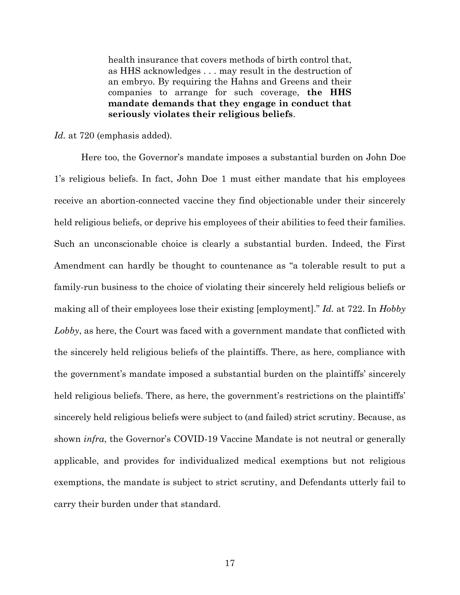health insurance that covers methods of birth control that, as HHS acknowledges . . . may result in the destruction of an embryo. By requiring the Hahns and Greens and their companies to arrange for such coverage, **the HHS mandate demands that they engage in conduct that seriously violates their religious beliefs**.

*Id.* at 720 (emphasis added).

Here too, the Governor's mandate imposes a substantial burden on John Doe 1's religious beliefs. In fact, John Doe 1 must either mandate that his employees receive an abortion-connected vaccine they find objectionable under their sincerely held religious beliefs, or deprive his employees of their abilities to feed their families. Such an unconscionable choice is clearly a substantial burden. Indeed, the First Amendment can hardly be thought to countenance as "a tolerable result to put a family-run business to the choice of violating their sincerely held religious beliefs or making all of their employees lose their existing [employment]." *Id.* at 722. In *Hobby Lobby*, as here, the Court was faced with a government mandate that conflicted with the sincerely held religious beliefs of the plaintiffs. There, as here, compliance with the government's mandate imposed a substantial burden on the plaintiffs' sincerely held religious beliefs. There, as here, the government's restrictions on the plaintiffs' sincerely held religious beliefs were subject to (and failed) strict scrutiny. Because, as shown *infra*, the Governor's COVID-19 Vaccine Mandate is not neutral or generally applicable, and provides for individualized medical exemptions but not religious exemptions, the mandate is subject to strict scrutiny, and Defendants utterly fail to carry their burden under that standard.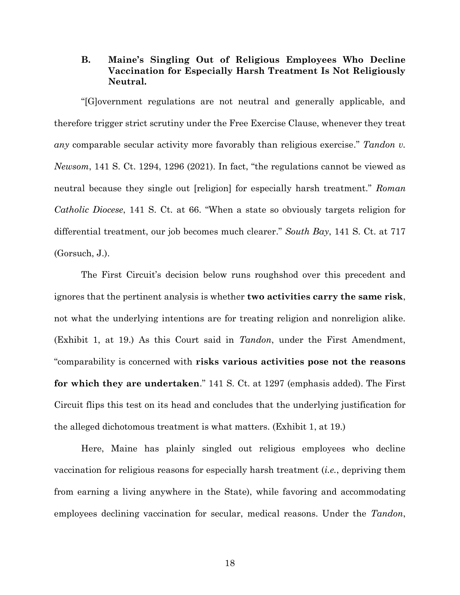#### **B. Maine's Singling Out of Religious Employees Who Decline Vaccination for Especially Harsh Treatment Is Not Religiously Neutral.**

"[G]overnment regulations are not neutral and generally applicable, and therefore trigger strict scrutiny under the Free Exercise Clause, whenever they treat *any* comparable secular activity more favorably than religious exercise." *Tandon v. Newsom*, 141 S. Ct. 1294, 1296 (2021). In fact, "the regulations cannot be viewed as neutral because they single out [religion] for especially harsh treatment." *Roman Catholic Diocese*, 141 S. Ct. at 66. "When a state so obviously targets religion for differential treatment, our job becomes much clearer." *South Bay*, 141 S. Ct. at 717 (Gorsuch, J.).

The First Circuit's decision below runs roughshod over this precedent and ignores that the pertinent analysis is whether **two activities carry the same risk**, not what the underlying intentions are for treating religion and nonreligion alike. (Exhibit 1, at 19.) As this Court said in *Tandon*, under the First Amendment, "comparability is concerned with **risks various activities pose not the reasons for which they are undertaken**." 141 S. Ct. at 1297 (emphasis added). The First Circuit flips this test on its head and concludes that the underlying justification for the alleged dichotomous treatment is what matters. (Exhibit 1, at 19.)

Here, Maine has plainly singled out religious employees who decline vaccination for religious reasons for especially harsh treatment (*i.e.*, depriving them from earning a living anywhere in the State), while favoring and accommodating employees declining vaccination for secular, medical reasons. Under the *Tandon*,

18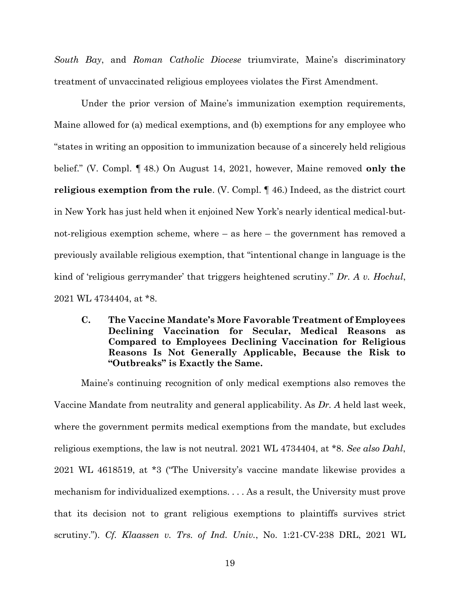*South Bay*, and *Roman Catholic Diocese* triumvirate, Maine's discriminatory treatment of unvaccinated religious employees violates the First Amendment.

Under the prior version of Maine's immunization exemption requirements, Maine allowed for (a) medical exemptions, and (b) exemptions for any employee who "states in writing an opposition to immunization because of a sincerely held religious belief." (V. Compl. ¶ 48.) On August 14, 2021, however, Maine removed **only the religious exemption from the rule**. (V. Compl. ¶ 46.) Indeed, as the district court in New York has just held when it enjoined New York's nearly identical medical-butnot-religious exemption scheme, where – as here – the government has removed a previously available religious exemption, that "intentional change in language is the kind of 'religious gerrymander' that triggers heightened scrutiny." *Dr. A v. Hochul*, 2021 WL 4734404, at \*8.

**C. The Vaccine Mandate's More Favorable Treatment of Employees Declining Vaccination for Secular, Medical Reasons as Compared to Employees Declining Vaccination for Religious Reasons Is Not Generally Applicable, Because the Risk to "Outbreaks" is Exactly the Same.**

Maine's continuing recognition of only medical exemptions also removes the Vaccine Mandate from neutrality and general applicability. As *Dr. A* held last week, where the government permits medical exemptions from the mandate, but excludes religious exemptions, the law is not neutral. 2021 WL 4734404, at \*8. *See also Dahl*, 2021 WL 4618519, at \*3 ("The University's vaccine mandate likewise provides a mechanism for individualized exemptions. . . . As a result, the University must prove that its decision not to grant religious exemptions to plaintiffs survives strict scrutiny."). *Cf. Klaassen v. Trs. of Ind. Univ.*, No. 1:21-CV-238 DRL, 2021 WL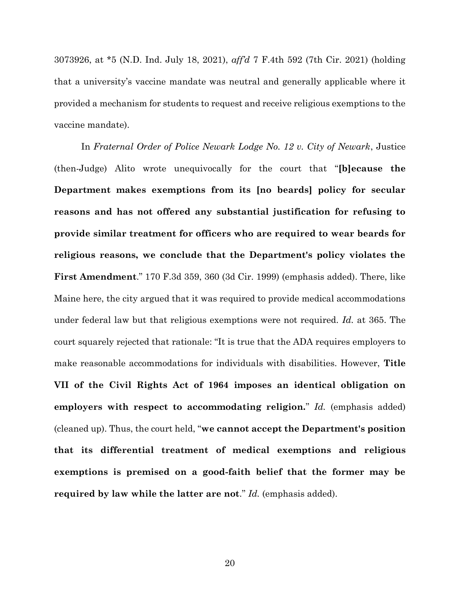3073926, at \*5 (N.D. Ind. July 18, 2021), *aff'd* 7 F.4th 592 (7th Cir. 2021) (holding that a university's vaccine mandate was neutral and generally applicable where it provided a mechanism for students to request and receive religious exemptions to the vaccine mandate).

In *Fraternal Order of Police Newark Lodge No. 12 v. City of Newark*, Justice (then-Judge) Alito wrote unequivocally for the court that "**[b]ecause the Department makes exemptions from its [no beards] policy for secular reasons and has not offered any substantial justification for refusing to provide similar treatment for officers who are required to wear beards for religious reasons, we conclude that the Department's policy violates the First Amendment**." 170 F.3d 359, 360 (3d Cir. 1999) (emphasis added). There, like Maine here, the city argued that it was required to provide medical accommodations under federal law but that religious exemptions were not required. *Id.* at 365. The court squarely rejected that rationale: "It is true that the ADA requires employers to make reasonable accommodations for individuals with disabilities. However, **Title VII of the Civil Rights Act of 1964 imposes an identical obligation on employers with respect to accommodating religion.**" *Id.* (emphasis added) (cleaned up). Thus, the court held, "**we cannot accept the Department's position that its differential treatment of medical exemptions and religious exemptions is premised on a good-faith belief that the former may be required by law while the latter are not**." *Id.* (emphasis added).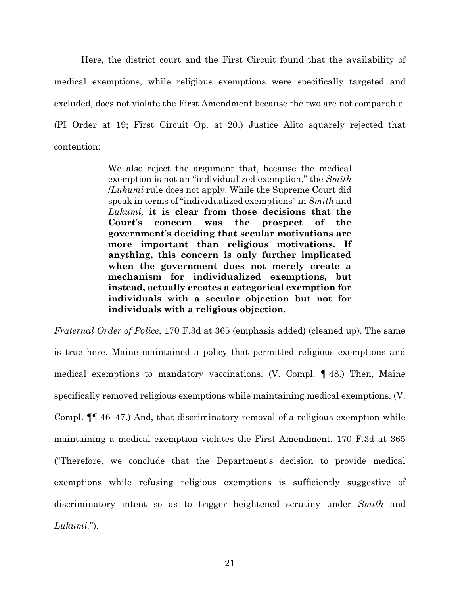Here, the district court and the First Circuit found that the availability of medical exemptions, while religious exemptions were specifically targeted and excluded, does not violate the First Amendment because the two are not comparable. (PI Order at 19; First Circuit Op. at 20.) Justice Alito squarely rejected that contention:

> We also reject the argument that, because the medical exemption is not an "individualized exemption," the *Smith* /*Lukumi* rule does not apply. While the Supreme Court did speak in terms of "individualized exemptions" in *Smith* and *Lukumi,* **it is clear from those decisions that the Court's concern was the prospect of the government's deciding that secular motivations are more important than religious motivations. If anything, this concern is only further implicated when the government does not merely create a mechanism for individualized exemptions, but instead, actually creates a categorical exemption for individuals with a secular objection but not for individuals with a religious objection**.

*Fraternal Order of Police*, 170 F.3d at 365 (emphasis added) (cleaned up). The same is true here. Maine maintained a policy that permitted religious exemptions and medical exemptions to mandatory vaccinations. (V. Compl. ¶ 48.) Then, Maine specifically removed religious exemptions while maintaining medical exemptions. (V. Compl. ¶¶ 46–47.) And, that discriminatory removal of a religious exemption while maintaining a medical exemption violates the First Amendment. 170 F.3d at 365 ("Therefore, we conclude that the Department's decision to provide medical exemptions while refusing religious exemptions is sufficiently suggestive of discriminatory intent so as to trigger heightened scrutiny under *Smith* and *Lukumi.*").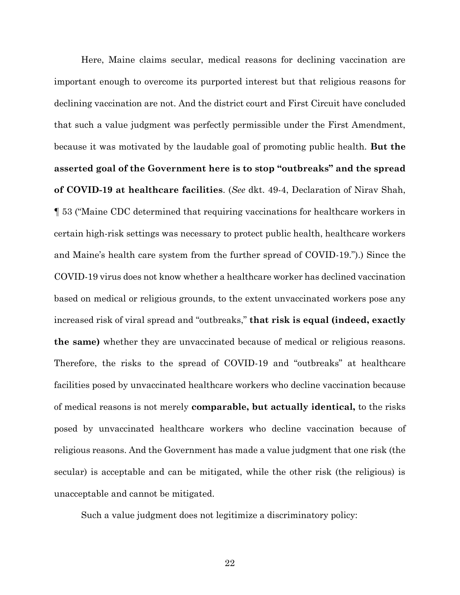Here, Maine claims secular, medical reasons for declining vaccination are important enough to overcome its purported interest but that religious reasons for declining vaccination are not. And the district court and First Circuit have concluded that such a value judgment was perfectly permissible under the First Amendment, because it was motivated by the laudable goal of promoting public health. **But the asserted goal of the Government here is to stop "outbreaks" and the spread of COVID-19 at healthcare facilities**. (*See* dkt. 49-4, Declaration of Nirav Shah, ¶ 53 ("Maine CDC determined that requiring vaccinations for healthcare workers in certain high-risk settings was necessary to protect public health, healthcare workers and Maine's health care system from the further spread of COVID-19.").) Since the COVID-19 virus does not know whether a healthcare worker has declined vaccination based on medical or religious grounds, to the extent unvaccinated workers pose any increased risk of viral spread and "outbreaks," **that risk is equal (indeed, exactly the same)** whether they are unvaccinated because of medical or religious reasons. Therefore, the risks to the spread of COVID-19 and "outbreaks" at healthcare facilities posed by unvaccinated healthcare workers who decline vaccination because of medical reasons is not merely **comparable, but actually identical,** to the risks posed by unvaccinated healthcare workers who decline vaccination because of religious reasons. And the Government has made a value judgment that one risk (the secular) is acceptable and can be mitigated, while the other risk (the religious) is unacceptable and cannot be mitigated.

Such a value judgment does not legitimize a discriminatory policy: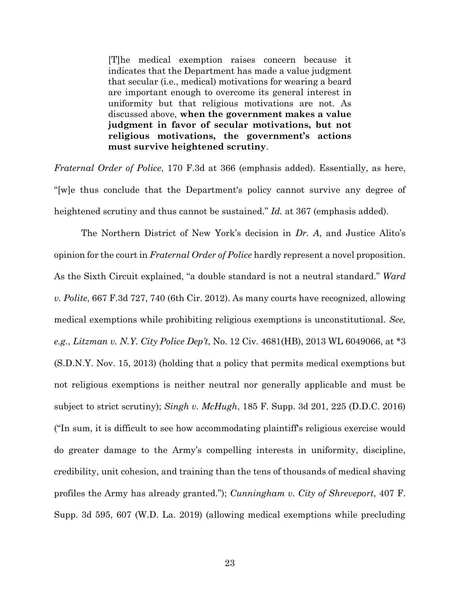[T]he medical exemption raises concern because it indicates that the Department has made a value judgment that secular (i.e., medical) motivations for wearing a beard are important enough to overcome its general interest in uniformity but that religious motivations are not. As discussed above, **when the government makes a value judgment in favor of secular motivations, but not religious motivations, the government's actions must survive heightened scrutiny**.

*Fraternal Order of Police*, 170 F.3d at 366 (emphasis added). Essentially, as here, "[w]e thus conclude that the Department's policy cannot survive any degree of heightened scrutiny and thus cannot be sustained." *Id.* at 367 (emphasis added).

The Northern District of New York's decision in *Dr. A*, and Justice Alito's opinion for the court in *Fraternal Order of Police* hardly represent a novel proposition. As the Sixth Circuit explained, "a double standard is not a neutral standard." *Ward v. Polite*, 667 F.3d 727, 740 (6th Cir. 2012). As many courts have recognized, allowing medical exemptions while prohibiting religious exemptions is unconstitutional. *See, e.g.*, *Litzman v. N.Y. City Police Dep't*, No. 12 Civ. 4681(HB), 2013 WL 6049066, at \*3 (S.D.N.Y. Nov. 15, 2013) (holding that a policy that permits medical exemptions but not religious exemptions is neither neutral nor generally applicable and must be subject to strict scrutiny); *Singh v. McHugh*, 185 F. Supp. 3d 201, 225 (D.D.C. 2016) ("In sum, it is difficult to see how accommodating plaintiff's religious exercise would do greater damage to the Army's compelling interests in uniformity, discipline, credibility, unit cohesion, and training than the tens of thousands of medical shaving profiles the Army has already granted."); *Cunningham v. City of Shreveport*, 407 F. Supp. 3d 595, 607 (W.D. La. 2019) (allowing medical exemptions while precluding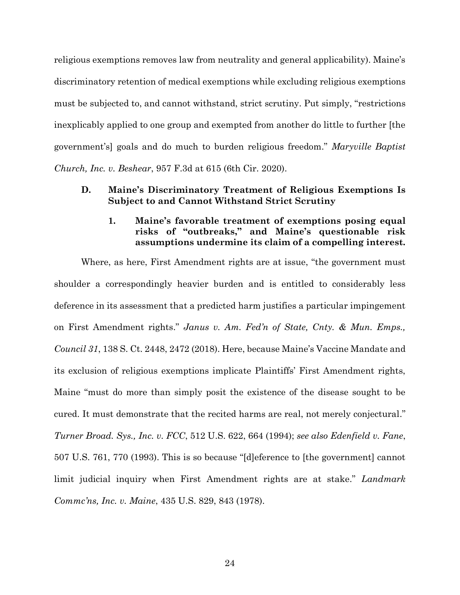religious exemptions removes law from neutrality and general applicability). Maine's discriminatory retention of medical exemptions while excluding religious exemptions must be subjected to, and cannot withstand, strict scrutiny. Put simply, "restrictions inexplicably applied to one group and exempted from another do little to further [the government's] goals and do much to burden religious freedom." *Maryville Baptist Church, Inc. v. Beshear*, 957 F.3d at 615 (6th Cir. 2020).

#### **D. Maine's Discriminatory Treatment of Religious Exemptions Is Subject to and Cannot Withstand Strict Scrutiny**

### **1. Maine's favorable treatment of exemptions posing equal risks of "outbreaks," and Maine's questionable risk assumptions undermine its claim of a compelling interest.**

Where, as here, First Amendment rights are at issue, "the government must shoulder a correspondingly heavier burden and is entitled to considerably less deference in its assessment that a predicted harm justifies a particular impingement on First Amendment rights." *Janus v. Am. Fed'n of State, Cnty. & Mun. Emps., Council 31*, 138 S. Ct. 2448, 2472 (2018). Here, because Maine's Vaccine Mandate and its exclusion of religious exemptions implicate Plaintiffs' First Amendment rights, Maine "must do more than simply posit the existence of the disease sought to be cured. It must demonstrate that the recited harms are real, not merely conjectural." *Turner Broad. Sys., Inc. v. FCC*, 512 U.S. 622, 664 (1994); *see also Edenfield v. Fane*, 507 U.S. 761, 770 (1993). This is so because "[d]eference to [the government] cannot limit judicial inquiry when First Amendment rights are at stake." *Landmark Commc'ns, Inc. v. Maine*, 435 U.S. 829, 843 (1978).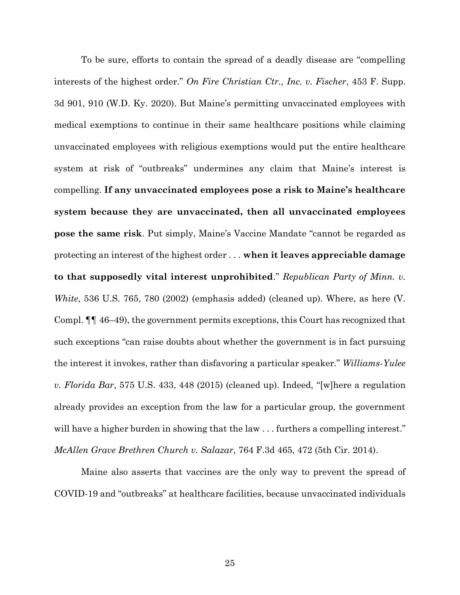To be sure, efforts to contain the spread of a deadly disease are "compelling interests of the highest order." *On Fire Christian Ctr., Inc. v. Fischer*, 453 F. Supp. 3d 901, 910 (W.D. Ky. 2020). But Maine's permitting unvaccinated employees with medical exemptions to continue in their same healthcare positions while claiming unvaccinated employees with religious exemptions would put the entire healthcare system at risk of "outbreaks" undermines any claim that Maine's interest is compelling. **If any unvaccinated employees pose a risk to Maine's healthcare system because they are unvaccinated, then all unvaccinated employees pose the same risk**. Put simply, Maine's Vaccine Mandate "cannot be regarded as protecting an interest of the highest order . . . **when it leaves appreciable damage to that supposedly vital interest unprohibited**." *Republican Party of Minn. v. White*, 536 U.S. 765, 780 (2002) (emphasis added) (cleaned up). Where, as here (V. Compl. ¶¶ 46–49), the government permits exceptions, this Court has recognized that such exceptions "can raise doubts about whether the government is in fact pursuing the interest it invokes, rather than disfavoring a particular speaker." *Williams-Yulee v. Florida Bar*, 575 U.S. 433, 448 (2015) (cleaned up). Indeed, "[w]here a regulation already provides an exception from the law for a particular group, the government will have a higher burden in showing that the law ... furthers a compelling interest." *McAllen Grave Brethren Church v. Salazar*, 764 F.3d 465, 472 (5th Cir. 2014).

Maine also asserts that vaccines are the only way to prevent the spread of COVID-19 and "outbreaks" at healthcare facilities, because unvaccinated individuals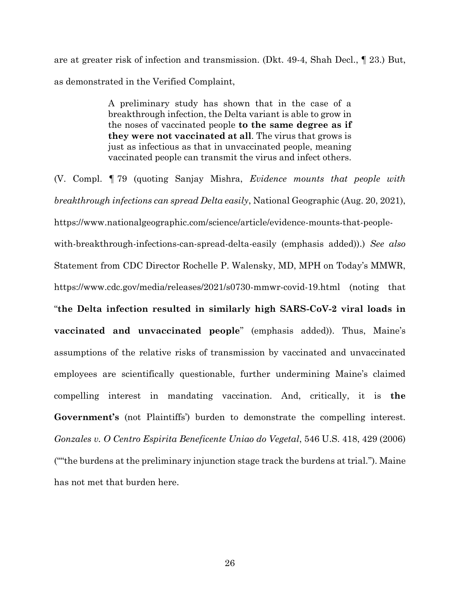are at greater risk of infection and transmission. (Dkt. 49-4, Shah Decl., ¶ 23.) But, as demonstrated in the Verified Complaint,

> A preliminary study has shown that in the case of a breakthrough infection, the Delta variant is able to grow in the noses of vaccinated people **to the same degree as if they were not vaccinated at all**. The virus that grows is just as infectious as that in unvaccinated people, meaning vaccinated people can transmit the virus and infect others.

(V. Compl. ¶ 79 (quoting Sanjay Mishra, *Evidence mounts that people with breakthrough infections can spread Delta easily*, National Geographic (Aug. 20, 2021), https://www.nationalgeographic.com/science/article/evidence-mounts-that-peoplewith-breakthrough-infections-can-spread-delta-easily (emphasis added)).) *See also*  Statement from CDC Director Rochelle P. Walensky, MD, MPH on Today's MMWR, https://www.cdc.gov/media/releases/2021/s0730-mmwr-covid-19.html (noting that "**the Delta infection resulted in similarly high SARS-CoV-2 viral loads in vaccinated and unvaccinated people**" (emphasis added)). Thus, Maine's assumptions of the relative risks of transmission by vaccinated and unvaccinated employees are scientifically questionable, further undermining Maine's claimed compelling interest in mandating vaccination. And, critically, it is **the Government's** (not Plaintiffs') burden to demonstrate the compelling interest. *Gonzales v. O Centro Espirita Beneficente Uniao do Vegetal*, 546 U.S. 418, 429 (2006) (""the burdens at the preliminary injunction stage track the burdens at trial."). Maine has not met that burden here.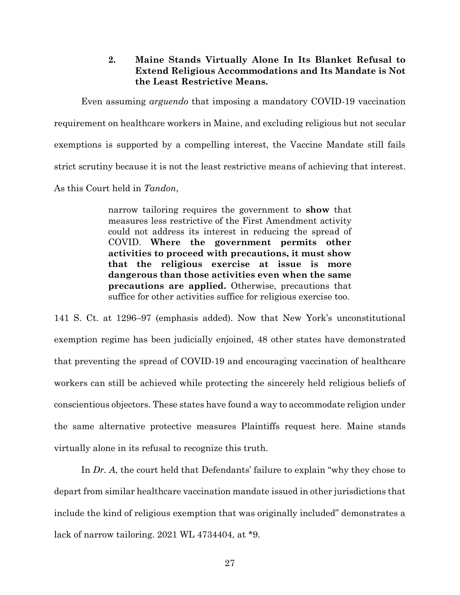#### **2. Maine Stands Virtually Alone In Its Blanket Refusal to Extend Religious Accommodations and Its Mandate is Not the Least Restrictive Means.**

Even assuming *arguendo* that imposing a mandatory COVID-19 vaccination requirement on healthcare workers in Maine, and excluding religious but not secular exemptions is supported by a compelling interest, the Vaccine Mandate still fails strict scrutiny because it is not the least restrictive means of achieving that interest. As this Court held in *Tandon*,

> narrow tailoring requires the government to **show** that measures less restrictive of the First Amendment activity could not address its interest in reducing the spread of COVID. **Where the government permits other activities to proceed with precautions, it must show that the religious exercise at issue is more dangerous than those activities even when the same precautions are applied.** Otherwise, precautions that suffice for other activities suffice for religious exercise too.

141 S. Ct. at 1296–97 (emphasis added). Now that New York's unconstitutional exemption regime has been judicially enjoined, 48 other states have demonstrated that preventing the spread of COVID-19 and encouraging vaccination of healthcare workers can still be achieved while protecting the sincerely held religious beliefs of conscientious objectors. These states have found a way to accommodate religion under the same alternative protective measures Plaintiffs request here. Maine stands virtually alone in its refusal to recognize this truth.

In *Dr. A*, the court held that Defendants' failure to explain "why they chose to depart from similar healthcare vaccination mandate issued in other jurisdictions that include the kind of religious exemption that was originally included" demonstrates a lack of narrow tailoring. 2021 WL 4734404, at \*9.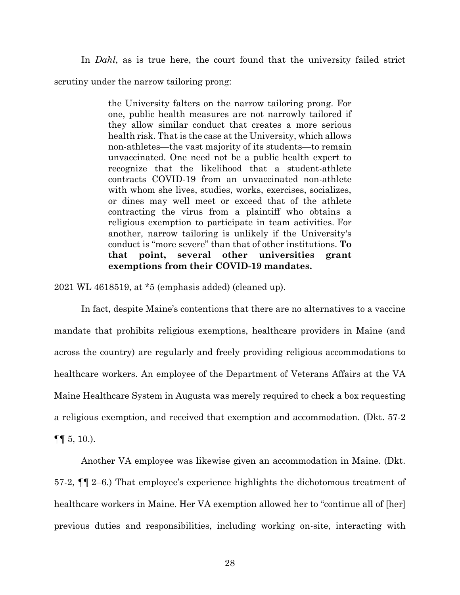In *Dahl*, as is true here, the court found that the university failed strict scrutiny under the narrow tailoring prong:

> the University falters on the narrow tailoring prong. For one, public health measures are not narrowly tailored if they allow similar conduct that creates a more serious health risk. That is the case at the University, which allows non-athletes—the vast majority of its students—to remain unvaccinated. One need not be a public health expert to recognize that the likelihood that a student-athlete contracts COVID-19 from an unvaccinated non-athlete with whom she lives, studies, works, exercises, socializes, or dines may well meet or exceed that of the athlete contracting the virus from a plaintiff who obtains a religious exemption to participate in team activities. For another, narrow tailoring is unlikely if the University's conduct is "more severe" than that of other institutions. **To that point, several other universities grant exemptions from their COVID-19 mandates.**

2021 WL 4618519, at \*5 (emphasis added) (cleaned up).

In fact, despite Maine's contentions that there are no alternatives to a vaccine mandate that prohibits religious exemptions, healthcare providers in Maine (and across the country) are regularly and freely providing religious accommodations to healthcare workers. An employee of the Department of Veterans Affairs at the VA Maine Healthcare System in Augusta was merely required to check a box requesting a religious exemption, and received that exemption and accommodation. (Dkt. 57-2  $\P\P$  5, 10.).

Another VA employee was likewise given an accommodation in Maine. (Dkt. 57-2, ¶¶ 2–6.) That employee's experience highlights the dichotomous treatment of healthcare workers in Maine. Her VA exemption allowed her to "continue all of [her] previous duties and responsibilities, including working on-site, interacting with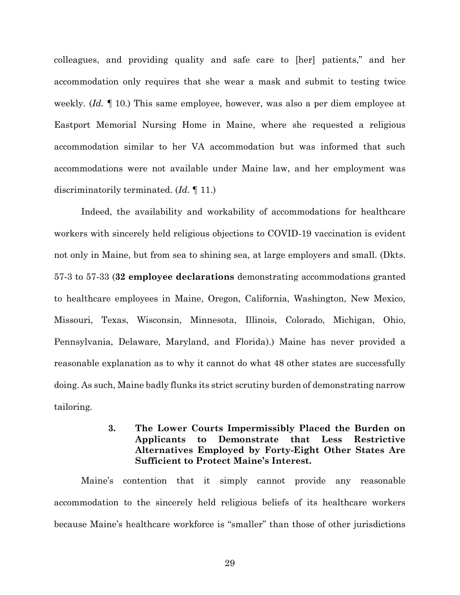colleagues, and providing quality and safe care to [her] patients," and her accommodation only requires that she wear a mask and submit to testing twice weekly. (*Id.* ¶ 10.) This same employee, however, was also a per diem employee at Eastport Memorial Nursing Home in Maine, where she requested a religious accommodation similar to her VA accommodation but was informed that such accommodations were not available under Maine law, and her employment was discriminatorily terminated. (*Id.* ¶ 11.)

Indeed, the availability and workability of accommodations for healthcare workers with sincerely held religious objections to COVID-19 vaccination is evident not only in Maine, but from sea to shining sea, at large employers and small. (Dkts. 57-3 to 57-33 (**32 employee declarations** demonstrating accommodations granted to healthcare employees in Maine, Oregon, California, Washington, New Mexico, Missouri, Texas, Wisconsin, Minnesota, Illinois, Colorado, Michigan, Ohio, Pennsylvania, Delaware, Maryland, and Florida).) Maine has never provided a reasonable explanation as to why it cannot do what 48 other states are successfully doing. As such, Maine badly flunks its strict scrutiny burden of demonstrating narrow tailoring.

### **3. The Lower Courts Impermissibly Placed the Burden on Applicants to Demonstrate that Less Restrictive Alternatives Employed by Forty-Eight Other States Are Sufficient to Protect Maine's Interest.**

Maine's contention that it simply cannot provide any reasonable accommodation to the sincerely held religious beliefs of its healthcare workers because Maine's healthcare workforce is "smaller" than those of other jurisdictions

29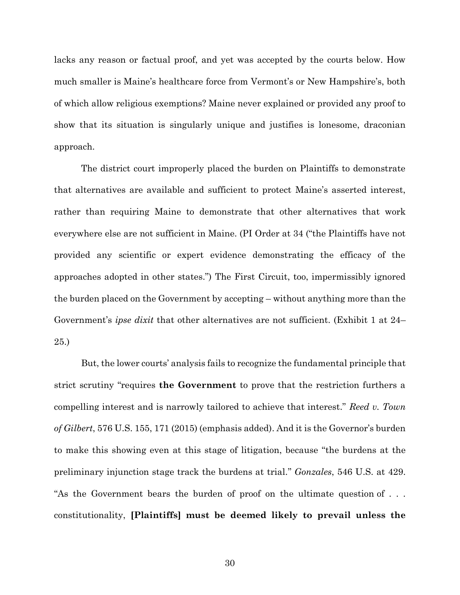lacks any reason or factual proof, and yet was accepted by the courts below. How much smaller is Maine's healthcare force from Vermont's or New Hampshire's, both of which allow religious exemptions? Maine never explained or provided any proof to show that its situation is singularly unique and justifies is lonesome, draconian approach.

The district court improperly placed the burden on Plaintiffs to demonstrate that alternatives are available and sufficient to protect Maine's asserted interest, rather than requiring Maine to demonstrate that other alternatives that work everywhere else are not sufficient in Maine. (PI Order at 34 ("the Plaintiffs have not provided any scientific or expert evidence demonstrating the efficacy of the approaches adopted in other states.") The First Circuit, too, impermissibly ignored the burden placed on the Government by accepting – without anything more than the Government's *ipse dixit* that other alternatives are not sufficient. (Exhibit 1 at 24– 25.)

But, the lower courts' analysis fails to recognize the fundamental principle that strict scrutiny "requires **the Government** to prove that the restriction furthers a compelling interest and is narrowly tailored to achieve that interest." *Reed v. Town of Gilbert*, 576 U.S. 155, 171 (2015) (emphasis added). And it is the Governor's burden to make this showing even at this stage of litigation, because "the burdens at the preliminary injunction stage track the burdens at trial." *Gonzales*, 546 U.S. at 429. "As the Government bears the burden of proof on the ultimate question of . . . constitutionality, **[Plaintiffs] must be deemed likely to prevail unless the**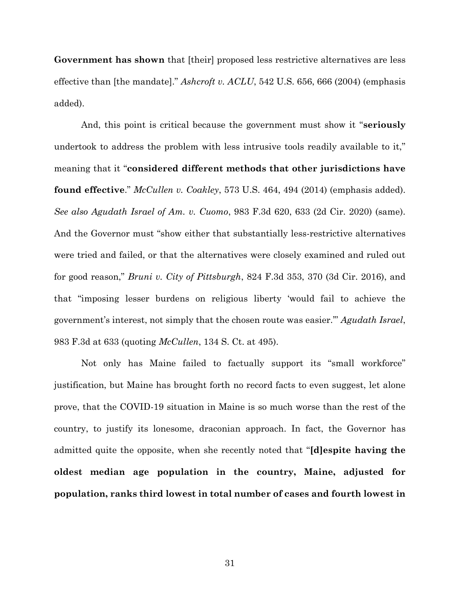**Government has shown** that [their] proposed less restrictive alternatives are less effective than [the mandate]." *Ashcroft v. ACLU*, 542 U.S. 656, 666 (2004) (emphasis added).

And, this point is critical because the government must show it "**seriously** undertook to address the problem with less intrusive tools readily available to it," meaning that it "**considered different methods that other jurisdictions have found effective**." *McCullen v. Coakley*, 573 U.S. 464, 494 (2014) (emphasis added). *See also Agudath Israel of Am. v. Cuomo*, 983 F.3d 620, 633 (2d Cir. 2020) (same). And the Governor must "show either that substantially less-restrictive alternatives were tried and failed, or that the alternatives were closely examined and ruled out for good reason," *Bruni v. City of Pittsburgh*, 824 F.3d 353, 370 (3d Cir. 2016), and that "imposing lesser burdens on religious liberty 'would fail to achieve the government's interest, not simply that the chosen route was easier.'" *Agudath Israel*, 983 F.3d at 633 (quoting *McCullen*, 134 S. Ct. at 495).

Not only has Maine failed to factually support its "small workforce" justification, but Maine has brought forth no record facts to even suggest, let alone prove, that the COVID-19 situation in Maine is so much worse than the rest of the country, to justify its lonesome, draconian approach. In fact, the Governor has admitted quite the opposite, when she recently noted that "**[d]espite having the oldest median age population in the country, Maine, adjusted for population, ranks third lowest in total number of cases and fourth lowest in**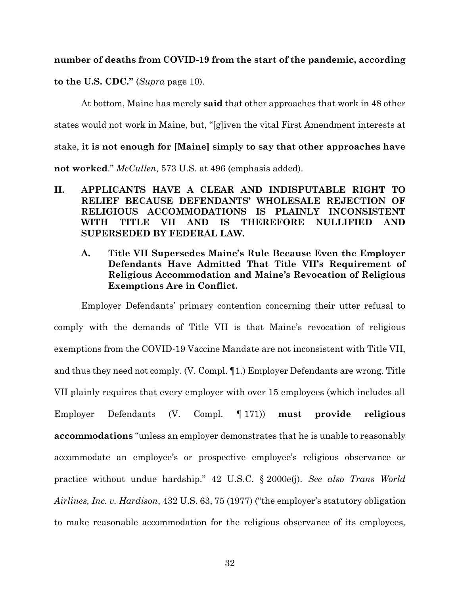#### **number of deaths from COVID-19 from the start of the pandemic, according**

**to the U.S. CDC."** (*Supra* page 10).

At bottom, Maine has merely **said** that other approaches that work in 48 other states would not work in Maine, but, "[g]iven the vital First Amendment interests at stake, **it is not enough for [Maine] simply to say that other approaches have not worked**." *McCullen*, 573 U.S. at 496 (emphasis added).

- **II. APPLICANTS HAVE A CLEAR AND INDISPUTABLE RIGHT TO RELIEF BECAUSE DEFENDANTS' WHOLESALE REJECTION OF RELIGIOUS ACCOMMODATIONS IS PLAINLY INCONSISTENT WITH TITLE VII AND IS THEREFORE NULLIFIED AND SUPERSEDED BY FEDERAL LAW.**
	- **A. Title VII Supersedes Maine's Rule Because Even the Employer Defendants Have Admitted That Title VII's Requirement of Religious Accommodation and Maine's Revocation of Religious Exemptions Are in Conflict.**

Employer Defendants' primary contention concerning their utter refusal to comply with the demands of Title VII is that Maine's revocation of religious exemptions from the COVID-19 Vaccine Mandate are not inconsistent with Title VII, and thus they need not comply. (V. Compl. ¶1.) Employer Defendants are wrong. Title VII plainly requires that every employer with over 15 employees (which includes all Employer Defendants (V. Compl. ¶ 171)) **must provide religious accommodations** "unless an employer demonstrates that he is unable to reasonably accommodate an employee's or prospective employee's religious observance or practice without undue hardship." 42 U.S.C. § 2000e(j). *See also Trans World Airlines, Inc. v. Hardison*, 432 U.S. 63, 75 (1977) ("the employer's statutory obligation to make reasonable accommodation for the religious observance of its employees,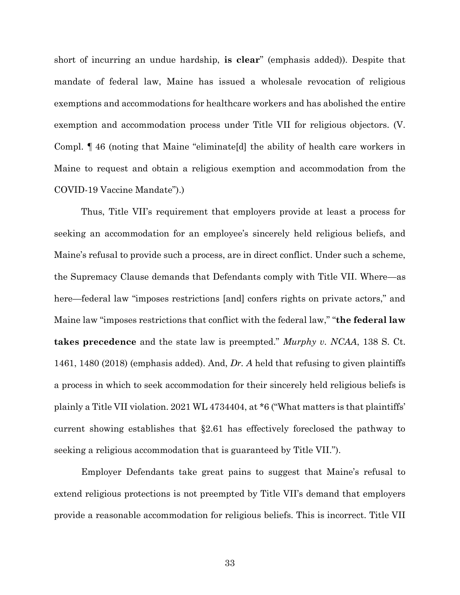short of incurring an undue hardship, **is clear**" (emphasis added)). Despite that mandate of federal law, Maine has issued a wholesale revocation of religious exemptions and accommodations for healthcare workers and has abolished the entire exemption and accommodation process under Title VII for religious objectors. (V. Compl. ¶ 46 (noting that Maine "eliminate[d] the ability of health care workers in Maine to request and obtain a religious exemption and accommodation from the COVID-19 Vaccine Mandate").)

Thus, Title VII's requirement that employers provide at least a process for seeking an accommodation for an employee's sincerely held religious beliefs, and Maine's refusal to provide such a process, are in direct conflict. Under such a scheme, the Supremacy Clause demands that Defendants comply with Title VII. Where—as here—federal law "imposes restrictions [and] confers rights on private actors," and Maine law "imposes restrictions that conflict with the federal law," "**the federal law takes precedence** and the state law is preempted." *Murphy v. NCAA*, 138 S. Ct. 1461, 1480 (2018) (emphasis added). And, *Dr. A* held that refusing to given plaintiffs a process in which to seek accommodation for their sincerely held religious beliefs is plainly a Title VII violation. 2021 WL 4734404, at \*6 ("What matters is that plaintiffs' current showing establishes that §2.61 has effectively foreclosed the pathway to seeking a religious accommodation that is guaranteed by Title VII.").

Employer Defendants take great pains to suggest that Maine's refusal to extend religious protections is not preempted by Title VII's demand that employers provide a reasonable accommodation for religious beliefs. This is incorrect. Title VII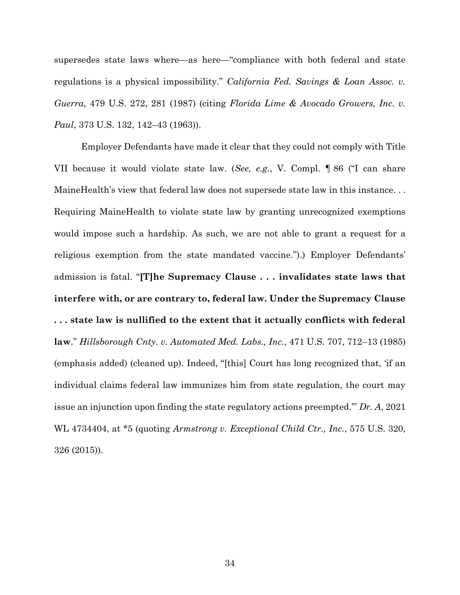supersedes state laws where—as here—"compliance with both federal and state regulations is a physical impossibility." *California Fed. Savings & Loan Assoc. v. Guerra*, 479 U.S. 272, 281 (1987) (citing *Florida Lime & Avocado Growers, Inc. v. Paul*, 373 U.S. 132, 142–43 (1963)).

Employer Defendants have made it clear that they could not comply with Title VII because it would violate state law. (*See, e.g.*, V. Compl. ¶ 86 ("I can share MaineHealth's view that federal law does not supersede state law in this instance. . . Requiring MaineHealth to violate state law by granting unrecognized exemptions would impose such a hardship. As such, we are not able to grant a request for a religious exemption from the state mandated vaccine.").) Employer Defendants' admission is fatal. "**[T]he Supremacy Clause . . . invalidates state laws that interfere with, or are contrary to, federal law. Under the Supremacy Clause . . . state law is nullified to the extent that it actually conflicts with federal law**." *Hillsborough Cnty. v. Automated Med. Labs., Inc.*, 471 U.S. 707, 712–13 (1985) (emphasis added) (cleaned up). Indeed, "[this] Court has long recognized that, 'if an individual claims federal law immunizes him from state regulation, the court may issue an injunction upon finding the state regulatory actions preempted.'" *Dr. A*, 2021 WL 4734404, at \*5 (quoting *Armstrong v. Exceptional Child Ctr., Inc.*, 575 U.S. 320, 326 (2015)).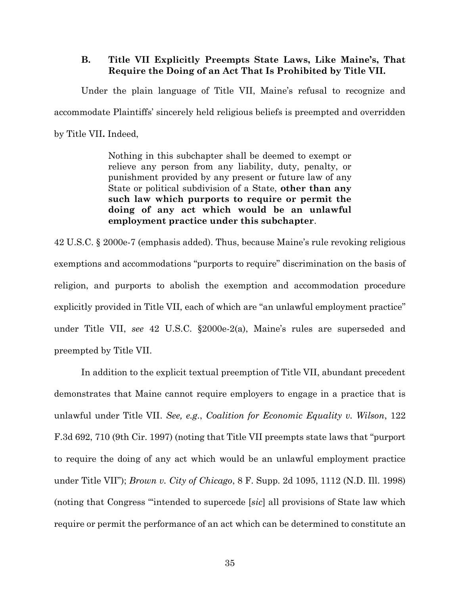#### **B. Title VII Explicitly Preempts State Laws, Like Maine's, That Require the Doing of an Act That Is Prohibited by Title VII.**

Under the plain language of Title VII, Maine's refusal to recognize and accommodate Plaintiffs' sincerely held religious beliefs is preempted and overridden by Title VII**.** Indeed,

> Nothing in this subchapter shall be deemed to exempt or relieve any person from any liability, duty, penalty, or punishment provided by any present or future law of any State or political subdivision of a State, **other than any such law which purports to require or permit the doing of any act which would be an unlawful employment practice under this subchapter**.

42 U.S.C. § 2000e-7 (emphasis added). Thus, because Maine's rule revoking religious exemptions and accommodations "purports to require" discrimination on the basis of religion, and purports to abolish the exemption and accommodation procedure explicitly provided in Title VII, each of which are "an unlawful employment practice" under Title VII, *see* 42 U.S.C. §2000e-2(a), Maine's rules are superseded and preempted by Title VII.

In addition to the explicit textual preemption of Title VII, abundant precedent demonstrates that Maine cannot require employers to engage in a practice that is unlawful under Title VII. *See, e.g.*, *Coalition for Economic Equality v. Wilson*, 122 F.3d 692, 710 (9th Cir. 1997) (noting that Title VII preempts state laws that "purport to require the doing of any act which would be an unlawful employment practice under Title VII"); *Brown v. City of Chicago*, 8 F. Supp. 2d 1095, 1112 (N.D. Ill. 1998) (noting that Congress "'intended to supercede [*sic*] all provisions of State law which require or permit the performance of an act which can be determined to constitute an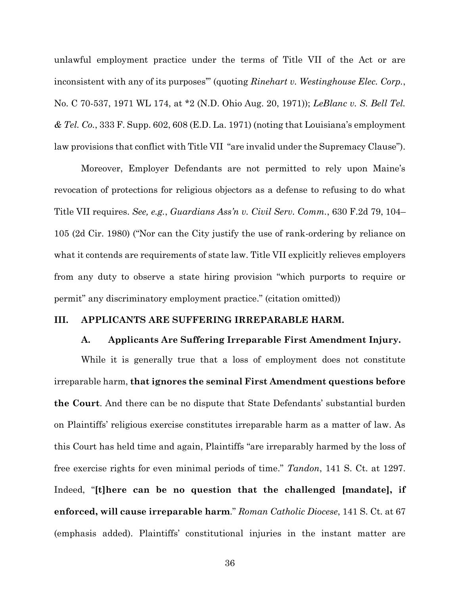unlawful employment practice under the terms of Title VII of the Act or are inconsistent with any of its purposes'" (quoting *Rinehart v. Westinghouse Elec. Corp.*, No. C 70-537, 1971 WL 174, at \*2 (N.D. Ohio Aug. 20, 1971)); *LeBlanc v. S. Bell Tel. & Tel. Co.*, 333 F. Supp. 602, 608 (E.D. La. 1971) (noting that Louisiana's employment law provisions that conflict with Title VII "are invalid under the Supremacy Clause").

Moreover, Employer Defendants are not permitted to rely upon Maine's revocation of protections for religious objectors as a defense to refusing to do what Title VII requires. *See, e.g.*, *Guardians Ass'n v. Civil Serv. Comm.*, 630 F.2d 79, 104– 105 (2d Cir. 1980) ("Nor can the City justify the use of rank-ordering by reliance on what it contends are requirements of state law. Title VII explicitly relieves employers from any duty to observe a state hiring provision "which purports to require or permit" any discriminatory employment practice." (citation omitted))

#### **III. APPLICANTS ARE SUFFERING IRREPARABLE HARM.**

#### **A. Applicants Are Suffering Irreparable First Amendment Injury.**

While it is generally true that a loss of employment does not constitute irreparable harm, **that ignores the seminal First Amendment questions before the Court**. And there can be no dispute that State Defendants' substantial burden on Plaintiffs' religious exercise constitutes irreparable harm as a matter of law. As this Court has held time and again, Plaintiffs "are irreparably harmed by the loss of free exercise rights for even minimal periods of time." *Tandon*, 141 S. Ct. at 1297. Indeed, "**[t]here can be no question that the challenged [mandate], if enforced, will cause irreparable harm**." *Roman Catholic Diocese*, 141 S. Ct. at 67 (emphasis added). Plaintiffs' constitutional injuries in the instant matter are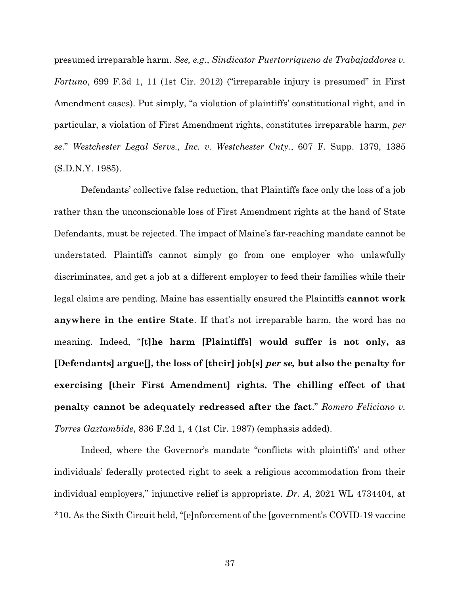presumed irreparable harm. *See, e.g.*, *Sindicator Puertorriqueno de Trabajaddores v. Fortuno*, 699 F.3d 1, 11 (1st Cir. 2012) ("irreparable injury is presumed" in First Amendment cases). Put simply, "a violation of plaintiffs' constitutional right, and in particular, a violation of First Amendment rights, constitutes irreparable harm, *per se*." *Westchester Legal Servs., Inc. v. Westchester Cnty.*, 607 F. Supp. 1379, 1385 (S.D.N.Y. 1985).

Defendants' collective false reduction, that Plaintiffs face only the loss of a job rather than the unconscionable loss of First Amendment rights at the hand of State Defendants, must be rejected. The impact of Maine's far-reaching mandate cannot be understated. Plaintiffs cannot simply go from one employer who unlawfully discriminates, and get a job at a different employer to feed their families while their legal claims are pending. Maine has essentially ensured the Plaintiffs **cannot work anywhere in the entire State**. If that's not irreparable harm, the word has no meaning. Indeed, "**[t]he harm [Plaintiffs] would suffer is not only, as [Defendants] argue[], the loss of [their] job[s]** *per se,* **but also the penalty for exercising [their First Amendment] rights. The chilling effect of that penalty cannot be adequately redressed after the fact**." *Romero Feliciano v. Torres Gaztambide*, 836 F.2d 1, 4 (1st Cir. 1987) (emphasis added).

Indeed, where the Governor's mandate "conflicts with plaintiffs' and other individuals' federally protected right to seek a religious accommodation from their individual employers," injunctive relief is appropriate. *Dr. A*, 2021 WL 4734404, at \*10. As the Sixth Circuit held, "[e]nforcement of the [government's COVID-19 vaccine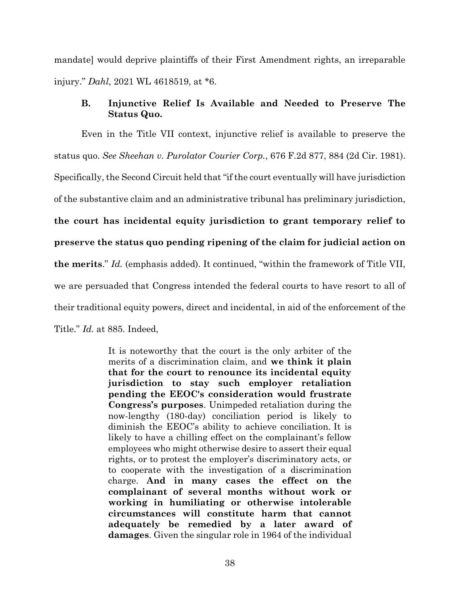mandate] would deprive plaintiffs of their First Amendment rights, an irreparable injury." *Dahl*, 2021 WL 4618519, at \*6.

### **B. Injunctive Relief Is Available and Needed to Preserve The Status Quo.**

Even in the Title VII context, injunctive relief is available to preserve the status quo. *See Sheehan v. Purolator Courier Corp.*, 676 F.2d 877, 884 (2d Cir. 1981). Specifically, the Second Circuit held that "if the court eventually will have jurisdiction of the substantive claim and an administrative tribunal has preliminary jurisdiction, **the court has incidental equity jurisdiction to grant temporary relief to preserve the status quo pending ripening of the claim for judicial action on the merits**." *Id.* (emphasis added). It continued, "within the framework of Title VII, we are persuaded that Congress intended the federal courts to have resort to all of their traditional equity powers, direct and incidental, in aid of the enforcement of the Title." *Id.* at 885. Indeed,

> It is noteworthy that the court is the only arbiter of the merits of a discrimination claim, and **we think it plain that for the court to renounce its incidental equity jurisdiction to stay such employer retaliation pending the EEOC's consideration would frustrate Congress's purposes**. Unimpeded retaliation during the now-lengthy (180-day) conciliation period is likely to diminish the EEOC's ability to achieve conciliation. It is likely to have a chilling effect on the complainant's fellow employees who might otherwise desire to assert their equal rights, or to protest the employer's discriminatory acts, or to cooperate with the investigation of a discrimination charge. **And in many cases the effect on the complainant of several months without work or working in humiliating or otherwise intolerable circumstances will constitute harm that cannot adequately be remedied by a later award of damages**. Given the singular role in 1964 of the individual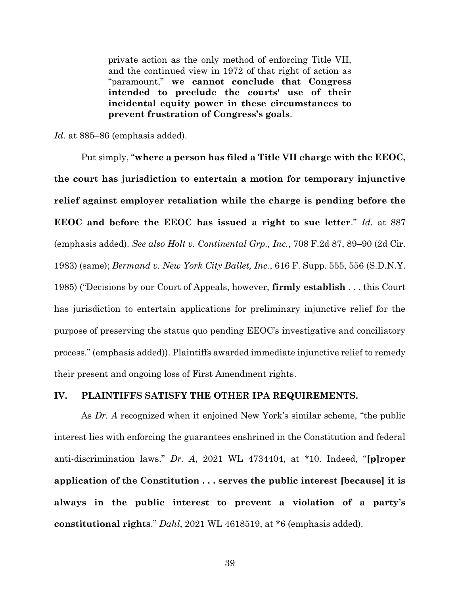private action as the only method of enforcing Title VII, and the continued view in 1972 of that right of action as "paramount," **we cannot conclude that Congress intended to preclude the courts' use of their incidental equity power in these circumstances to prevent frustration of Congress's goals**.

*Id.* at 885–86 (emphasis added).

Put simply, "**where a person has filed a Title VII charge with the EEOC, the court has jurisdiction to entertain a motion for temporary injunctive relief against employer retaliation while the charge is pending before the EEOC and before the EEOC has issued a right to sue letter**." *Id.* at 887 (emphasis added). *See also Holt v. Continental Grp., Inc.*, 708 F.2d 87, 89–90 (2d Cir. 1983) (same); *Bermand v. New York City Ballet, Inc.*, 616 F. Supp. 555, 556 (S.D.N.Y. 1985) ("Decisions by our Court of Appeals, however, **firmly establish** . . . this Court has jurisdiction to entertain applications for preliminary injunctive relief for the purpose of preserving the status quo pending EEOC's investigative and conciliatory process." (emphasis added)). Plaintiffs awarded immediate injunctive relief to remedy their present and ongoing loss of First Amendment rights.

#### **IV. PLAINTIFFS SATISFY THE OTHER IPA REQUIREMENTS.**

As *Dr. A* recognized when it enjoined New York's similar scheme, "the public interest lies with enforcing the guarantees enshrined in the Constitution and federal anti-discrimination laws." *Dr. A*, 2021 WL 4734404, at \*10. Indeed, "**[p]roper application of the Constitution . . . serves the public interest [because] it is always in the public interest to prevent a violation of a party's constitutional rights**." *Dahl*, 2021 WL 4618519, at \*6 (emphasis added).

39